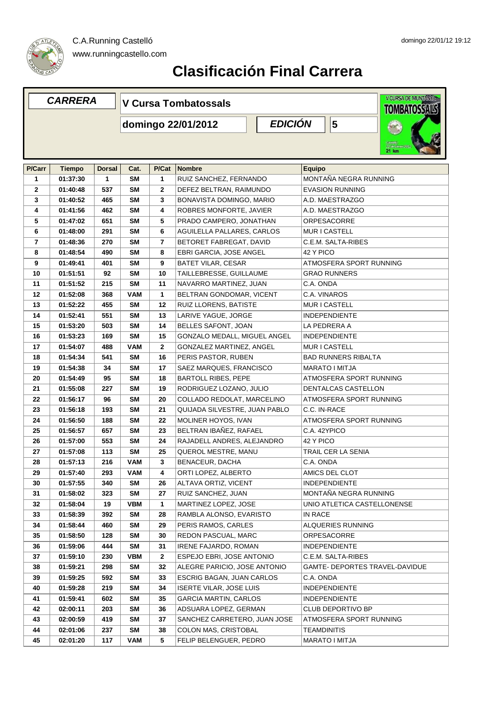

| <b>CARRERA</b> |               |               | <b>V Cursa Tombatossals</b>          |                |                                |  |                    |                            | V CURSA DE MUNTANYA<br><b>TOMBATOSSALS</b> |
|----------------|---------------|---------------|--------------------------------------|----------------|--------------------------------|--|--------------------|----------------------------|--------------------------------------------|
|                |               |               | <b>EDICIÓN</b><br>domingo 22/01/2012 |                |                                |  |                    | 5                          |                                            |
|                |               |               |                                      |                |                                |  |                    |                            | 21 km                                      |
| P/Carr         | <b>Tiempo</b> | <b>Dorsal</b> | Cat.                                 | P/Cat          | <b>Nombre</b>                  |  | <b>Equipo</b>      |                            |                                            |
| 1              | 01:37:30      | 1             | <b>SM</b>                            | 1              | RUIZ SANCHEZ, FERNANDO         |  |                    |                            | MONTAÑA NEGRA RUNNING                      |
| $\overline{2}$ | 01:40:48      | 537           | <b>SM</b>                            | 2              | DEFEZ BELTRAN, RAIMUNDO        |  |                    | <b>EVASION RUNNING</b>     |                                            |
| 3              | 01:40:52      | 465           | <b>SM</b>                            | 3              | BONAVISTA DOMINGO, MARIO       |  |                    | A.D. MAESTRAZGO            |                                            |
| 4              | 01:41:56      | 462           | <b>SM</b>                            | 4              | ROBRES MONFORTE, JAVIER        |  |                    | A.D. MAESTRAZGO            |                                            |
| 5              | 01:47:02      | 651           | <b>SM</b>                            | 5              | PRADO CAMPERO, JONATHAN        |  |                    | <b>ORPESACORRE</b>         |                                            |
| 6              | 01:48:00      | 291           | <b>SM</b>                            | 6              | AGUILELLA PALLARES, CARLOS     |  |                    | MUR I CASTELL              |                                            |
| $\overline{7}$ | 01:48:36      | 270           | <b>SM</b>                            | $\overline{7}$ | BETORET FABREGAT, DAVID        |  |                    | C.E.M. SALTA-RIBES         |                                            |
| 8              | 01:48:54      | 490           | <b>SM</b>                            | 8              | EBRI GARCIA, JOSE ANGEL        |  | 42 Y PICO          |                            |                                            |
| 9              | 01:49:41      | 401           | SΜ                                   | 9              | BATET VILAR, CESAR             |  |                    |                            | ATMOSFERA SPORT RUNNING                    |
| 10             | 01:51:51      | 92            | <b>SM</b>                            | 10             | TAILLEBRESSE, GUILLAUME        |  |                    | <b>GRAO RUNNERS</b>        |                                            |
| 11             | 01:51:52      | 215           | <b>SM</b>                            | 11             | NAVARRO MARTINEZ, JUAN         |  | C.A. ONDA          |                            |                                            |
| 12             | 01:52:08      | 368           | <b>VAM</b>                           | 1              | BELTRAN GONDOMAR, VICENT       |  | C.A. VINAROS       |                            |                                            |
| 13             | 01:52:22      | 455           | <b>SM</b>                            | 12             | RUIZ LLORENS, BATISTE          |  |                    | MUR I CASTELL              |                                            |
| 14             | 01:52:41      | 551           | <b>SM</b>                            | 13             | LARIVE YAGUE, JORGE            |  |                    | <b>INDEPENDIENTE</b>       |                                            |
| 15             | 01:53:20      | 503           | <b>SM</b>                            | 14             | BELLES SAFONT, JOAN            |  |                    | LA PEDRERA A               |                                            |
| 16             | 01:53:23      | 169           | <b>SM</b>                            | 15             | GONZALO MEDALL, MIGUEL ANGEL   |  |                    | <b>INDEPENDIENTE</b>       |                                            |
| 17             | 01:54:07      | 488           | <b>VAM</b>                           | 2              | GONZALEZ MARTINEZ, ANGEL       |  |                    | MUR I CASTELL              |                                            |
| 18             | 01:54:34      | 541           | <b>SM</b>                            | 16             | PERIS PASTOR, RUBEN            |  |                    | <b>BAD RUNNERS RIBALTA</b> |                                            |
| 19             | 01:54:38      | 34            | SΜ                                   | 17             | SAEZ MARQUES, FRANCISCO        |  |                    | <b>MARATO I MITJA</b>      |                                            |
| 20             | 01:54:49      | 95            | <b>SM</b>                            | 18             | <b>BARTOLL RIBES, PEPE</b>     |  |                    |                            | ATMOSFERA SPORT RUNNING                    |
| 21             | 01:55:08      | 227           | <b>SM</b>                            | 19             | RODRIGUEZ LOZANO, JULIO        |  |                    |                            | DENTALCAS CASTELLON                        |
| 22             | 01:56:17      | 96            | SΜ                                   | 20             | COLLADO REDOLAT, MARCELINO     |  |                    |                            | ATMOSFERA SPORT RUNNING                    |
| 23             | 01:56:18      | 193           | <b>SM</b>                            | 21             | QUIJADA SILVESTRE, JUAN PABLO  |  | C.C. IN-RACE       |                            |                                            |
| 24             | 01:56:50      | 188           | <b>SM</b>                            | 22             | MOLINER HOYOS, IVAN            |  |                    |                            | ATMOSFERA SPORT RUNNING                    |
| 25             | 01:56:57      | 657           | SΜ                                   | 23             | BELTRAN IBAÑEZ, RAFAEL         |  | C.A. 42YPICO       |                            |                                            |
| 26             | 01:57:00      | 553           | <b>SM</b>                            | 24             | RAJADELL ANDRES, ALEJANDRO     |  | 42 Y PICO          |                            |                                            |
| 27             | 01:57:08      | 113           | <b>SM</b>                            | 25             | QUEROL MESTRE, MANU            |  |                    | <b>TRAIL CER LA SENIA</b>  |                                            |
| 28             | 01:57:13      | 216           | VAM                                  | 3              | BENACEUR, DACHA                |  | C.A. ONDA          |                            |                                            |
| 29             | 01:57:40      | 293           | VAM                                  | 4              | ORTI LOPEZ, ALBERTO            |  |                    | AMICS DEL CLOT             |                                            |
| 30             | 01:57:55      | 340           | SM                                   | 26             | ALTAVA ORTIZ, VICENT           |  |                    | <b>INDEPENDIENTE</b>       |                                            |
| 31             | 01:58:02      | 323           | <b>SM</b>                            | 27             | RUIZ SANCHEZ, JUAN             |  |                    |                            | MONTAÑA NEGRA RUNNING                      |
| 32             | 01:58:04      | 19            | VBM                                  | 1              | MARTINEZ LOPEZ, JOSE           |  |                    |                            | UNIO ATLETICA CASTELLONENSE                |
| 33             | 01:58:39      | 392           | <b>SM</b>                            | 28             | RAMBLA ALONSO, EVARISTO        |  | IN RACE            |                            |                                            |
| 34             | 01:58:44      | 460           | SM                                   | 29             | PERIS RAMOS, CARLES            |  |                    | ALQUERIES RUNNING          |                                            |
| 35             | 01:58:50      | 128           | SM                                   | 30             | REDON PASCUAL, MARC            |  |                    | <b>ORPESACORRE</b>         |                                            |
| 36             | 01:59:06      | 444           | SM                                   | 31             | <b>IRENE FAJARDO, ROMAN</b>    |  |                    | <b>INDEPENDIENTE</b>       |                                            |
| 37             | 01:59:10      | 230           | VBM                                  | $\mathbf{2}$   | ESPEJO EBRI, JOSE ANTONIO      |  |                    | C.E.M. SALTA-RIBES         |                                            |
| 38             | 01:59:21      | 298           | SM                                   | 32             | ALEGRE PARICIO, JOSE ANTONIO   |  |                    |                            | GAMTE- DEPORTES TRAVEL-DAVIDUE             |
| 39             | 01:59:25      | 592           | SM                                   | 33             | ESCRIG BAGAN, JUAN CARLOS      |  | C.A. ONDA          |                            |                                            |
| 40             | 01:59:28      | 219           | SM                                   | 34             | <b>ISERTE VILAR, JOSE LUIS</b> |  |                    | <b>INDEPENDIENTE</b>       |                                            |
| 41             | 01:59:41      | 602           | SΜ                                   | 35             | <b>GARCIA MARTIN, CARLOS</b>   |  |                    | <b>INDEPENDIENTE</b>       |                                            |
| 42             | 02:00:11      | 203           | SΜ                                   | 36             | ADSUARA LOPEZ, GERMAN          |  |                    | <b>CLUB DEPORTIVO BP</b>   |                                            |
| 43             | 02:00:59      | 419           | SM                                   | 37             | SANCHEZ CARRETERO, JUAN JOSE   |  |                    |                            | ATMOSFERA SPORT RUNNING                    |
| 44             | 02:01:06      | 237           | SM                                   | 38             | COLON MAS, CRISTOBAL           |  | <b>TEAMDINITIS</b> |                            |                                            |
| 45             | 02:01:20      | 117           | VAM                                  | 5              | FELIP BELENGUER, PEDRO         |  |                    | MARATO I MITJA             |                                            |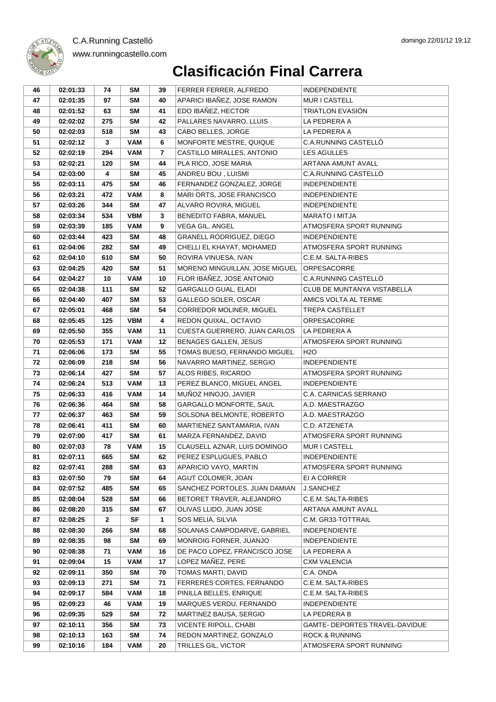



| 46       | 02:01:33             | 74                  | <b>SM</b>       | 39           | FERRER FERRER, ALFREDO                       | <b>INDEPENDIENTE</b>                     |
|----------|----------------------|---------------------|-----------------|--------------|----------------------------------------------|------------------------------------------|
| 47       | 02:01:35             | 97                  | <b>SM</b>       | 40           | APARICI IBAÑEZ, JOSE RAMON                   | MUR I CASTELL                            |
| 48       | 02:01:52             | 63                  | SM              | 41           | EDO IBAÑEZ, HECTOR                           | <b>TRIATLON EVASIÓN</b>                  |
| 49       | 02:02:02             | 275                 | <b>SM</b>       | 42           | PALLARES NAVARRO, LLUIS                      | LA PEDRERA A                             |
| 50       | 02:02:03             | 518                 | SM              | 43           | CABO BELLES, JORGE                           | LA PEDRERA A                             |
| 51       | 02:02:12             | 3                   | <b>VAM</b>      | 6            | MONFORTE MESTRE, QUIQUE                      | C.A.RUNNING CASTELLÓ                     |
| 52       | 02:02:19             | 294                 | <b>VAM</b>      | 7            | CASTILLO MIRALLES, ANTONIO                   | <b>LES AGULLES</b>                       |
| 53       | 02:02:21             | 120                 | SM              | 44           | PLA RICO, JOSE MARIA                         | ARTANA AMUNT AVALL                       |
| 54       | 02:03:00             | 4                   | <b>SM</b>       | 45           | ANDREU BOU, LUISMI                           | C.A.RUNNING CASTELLÓ                     |
| 55       | 02:03:11             | 475                 | <b>SM</b>       | 46           | FERNANDEZ GONZALEZ, JORGE                    | <b>INDEPENDIENTE</b>                     |
| 56       | 02:03:21             | 472                 | <b>VAM</b>      | 8            | MARI ORTS, JOSE FRANCISCO                    | <b>INDEPENDIENTE</b>                     |
| 57       | 02:03:26             | 344                 | <b>SM</b>       | 47           | ALVARO ROVIRA, MIGUEL                        | <b>INDEPENDIENTE</b>                     |
| 58       | 02:03:34             | 534                 | <b>VBM</b>      | $\mathbf{3}$ | BENEDITO FABRA, MANUEL                       | MARATO I MITJA                           |
| 59       | 02:03:39             | 185                 | <b>VAM</b>      | 9            | VEGA GIL, ANGEL                              | ATMOSFERA SPORT RUNNING                  |
| 60       | 02:03:44             | 423                 | <b>SM</b>       | 48           | GRANELL RODRIGUEZ, DIEGO                     | <b>INDEPENDIENTE</b>                     |
| 61       | 02:04:06             | 282                 | SM              | 49           | CHELLI EL KHAYAT, MOHAMED                    | ATMOSFERA SPORT RUNNING                  |
| 62       | 02:04:10             | 610                 | <b>SM</b>       | 50           | ROVIRA VINUESA, IVAN                         | C.E.M. SALTA-RIBES                       |
| 63       | 02:04:25             | 420                 | <b>SM</b>       | 51           | MORENO MINGUILLAN, JOSE MIGUEL               | <b>ORPESACORRE</b>                       |
| 64       | 02:04:27             | 10                  | <b>VAM</b>      | 10           | FLOR IBAÑEZ, JOSE ANTONIO                    | <b>C.A.RUNNING CASTELLO</b>              |
| 65       | 02:04:38             | 111                 | <b>SM</b>       | 52           | <b>GARGALLO GUAL, ELADI</b>                  | <b>CLUB DE MUNTANYA VISTABELLA</b>       |
| 66       | 02:04:40             | 407                 | <b>SM</b>       | 53           | GALLEGO SOLER, OSCAR                         | AMICS VOLTA AL TERME                     |
| 67       | 02:05:01             | 468                 | <b>SM</b>       | 54           | CORREDOR MOLINER, MIGUEL                     | <b>TREPA CASTELLET</b>                   |
| 68       | 02:05:45             | 125                 | <b>VBM</b>      | 4            | REDON QUIXAL, OCTAVIO                        | <b>ORPESACORRE</b>                       |
| 69       | 02:05:50             | 355                 | <b>VAM</b>      | 11           | CUESTA GUERRERO, JUAN CARLOS                 | LA PEDRERA A                             |
| 70       | 02:05:53             | 171                 | <b>VAM</b>      | 12           | <b>BENAGES GALLEN, JESUS</b>                 | ATMOSFERA SPORT RUNNING                  |
| 71       | 02:06:06             | 173                 | SM              | 55           | TOMAS BUESO, FERNANDO MIGUEL                 | H <sub>2</sub> O                         |
| 72       | 02:06:09             | 218                 | SM              | 56           | NAVARRO MARTINEZ, SERGIO                     | <b>INDEPENDIENTE</b>                     |
| 73       | 02:06:14             | 427                 | <b>SM</b>       | 57           | ALOS RIBES, RICARDO                          | ATMOSFERA SPORT RUNNING                  |
| 74       | 02:06:24             | 513                 | <b>VAM</b>      | 13           | PEREZ BLANCO, MIGUEL ANGEL                   | <b>INDEPENDIENTE</b>                     |
| 75       | 02:06:33             | 416                 | <b>VAM</b>      | 14           | MUÑOZ HINOJO, JAVIER                         | C.A. CARNICAS SERRANO                    |
| 76       | 02:06:36             | 464                 | <b>SM</b>       | 58           | GARGALLO MONFORTE, SAUL                      | A.D. MAESTRAZGO                          |
| 77       | 02:06:37             | 463                 | <b>SM</b>       | 59           | SOLSONA BELMONTE, ROBERTO                    | A.D. MAESTRAZGO                          |
| 78       | 02:06:41             | 411                 | <b>SM</b>       | 60           | MARTIENEZ SANTAMARIA, IVAN                   | C.D. ATZENETA                            |
| 79       | 02:07:00             | 417                 | SM              | 61           | MARZA FERNANDEZ. DAVID                       | ATMOSFERA SPORT RUNNING                  |
| 80       | 02:07:03             | 78                  | <b>VAM</b>      | 15           | CLAUSELL AZNAR, LUIS DOMINGO                 | MUR I CASTELL                            |
| 81       | 02:07:11             | 665                 | SM              | 62           | PEREZ ESPLUGUES, PABLO                       | <b>INDEPENDIENTE</b>                     |
| 82       | 02:07:41             | 288                 | SM              | 63           | APARICIO VAYO, MARTIN                        | ATMOSFERA SPORT RUNNING                  |
| 83       | 02:07:50             | 79                  | <b>SM</b>       | 64           | AGUT COLOMER, JOAN                           | EI A CORRER                              |
| 84       | 02:07:52             | 485                 | <b>SM</b>       | 65           | SANCHEZ PORTOLES, JUAN DAMIAN                | <b>J.SANCHEZ</b>                         |
| 85       | 02:08:04             | 528                 | <b>SM</b>       | 66           | BETORET TRAVER, ALEJANDRO                    | C.E.M. SALTA-RIBES                       |
| 86<br>87 | 02:08:20<br>02:08:25 | 315<br>$\mathbf{2}$ | <b>SM</b><br>SF | 67<br>1      | OLIVAS LLIDO, JUAN JOSE<br>SOS MELIA, SILVIA | ARTANA AMUNT AVALL<br>C.M. GR33-TOTTRAIL |
| 88       | 02:08:30             | 266                 | SM              | 68           | SOLANAS CAMPODARVE, GABRIEL                  | <b>INDEPENDIENTE</b>                     |
| 89       | 02:08:35             | 98                  | <b>SM</b>       | 69           | MONROIG FORNER, JUANJO                       | <b>INDEPENDIENTE</b>                     |
| 90       | 02:08:38             | 71                  | <b>VAM</b>      | 16           | DE PACO LOPEZ, FRANCISCO JOSE                | LA PEDRERA A                             |
| 91       | 02:09:04             | 15                  | <b>VAM</b>      | 17           | LOPEZ MAÑEZ, PERE                            | <b>CXM VALENCIA</b>                      |
| 92       | 02:09:11             | 350                 | <b>SM</b>       | 70           | TOMAS MARTI, DAVID                           | C.A. ONDA                                |
| 93       | 02:09:13             | 271                 | <b>SM</b>       | 71           | FERRERES CORTES, FERNANDO                    | C.E.M. SALTA-RIBES                       |
| 94       | 02:09:17             | 584                 | <b>VAM</b>      | 18           | PINILLA BELLES, ENRIQUE                      | C.E.M. SALTA-RIBES                       |
| 95       | 02:09:23             | 46                  | <b>VAM</b>      | 19           | MARQUES VERDU, FERNANDO                      | <b>INDEPENDIENTE</b>                     |
| 96       | 02:09:35             | 529                 | <b>SM</b>       | 72           | MARTINEZ BAUSA, SERGIO                       | LA PEDRERA B                             |
| 97       | 02:10:11             | 356                 | <b>SM</b>       | 73           | VICENTE RIPOLL, CHABI                        | GAMTE- DEPORTES TRAVEL-DAVIDUE           |
| 98       | 02:10:13             | 163                 | <b>SM</b>       | 74           | REDON MARTINEZ, GONZALO                      | <b>ROCK &amp; RUNNING</b>                |
| 99       | 02:10:16             | 184                 | <b>VAM</b>      | 20           | TRILLES GIL, VICTOR                          | ATMOSFERA SPORT RUNNING                  |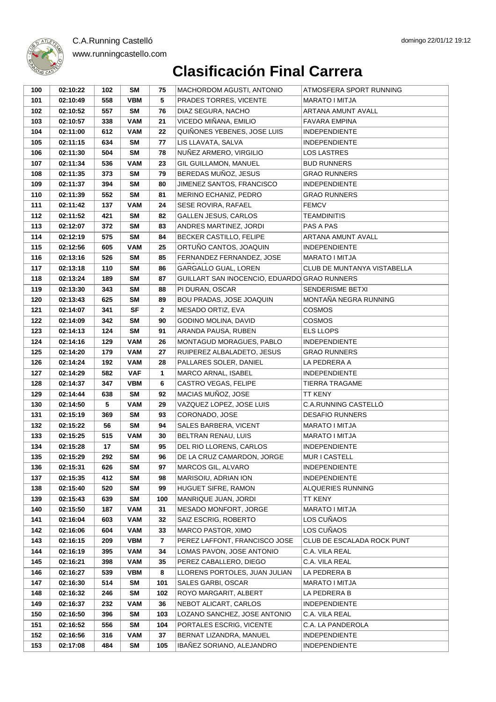| 100 | 02:10:22 | 102 | SΜ         | 75                      | MACHORDOM AGUSTI, ANTONIO                    | ATMOSFERA SPORT RUNNING     |
|-----|----------|-----|------------|-------------------------|----------------------------------------------|-----------------------------|
| 101 | 02:10:49 | 558 | <b>VBM</b> | 5                       | PRADES TORRES, VICENTE                       | <b>MARATO I MITJA</b>       |
| 102 | 02:10:52 | 557 | <b>SM</b>  | 76                      | DIAZ SEGURA, NACHO                           | ARTANA AMUNT AVALL          |
| 103 | 02:10:57 | 338 | <b>VAM</b> | 21                      | VICEDO MIÑANA, EMILIO                        | <b>FAVARA EMPINA</b>        |
| 104 | 02:11:00 | 612 | <b>VAM</b> | 22                      | QUIÑONES YEBENES, JOSE LUIS                  | <b>INDEPENDIENTE</b>        |
| 105 | 02:11:15 | 634 | <b>SM</b>  | 77                      | LIS LLAVATA, SALVA                           | <b>INDEPENDIENTE</b>        |
| 106 | 02:11:30 | 504 | <b>SM</b>  | 78                      | NUÑEZ ARMERO, VIRGILIO                       | <b>LOS LASTRES</b>          |
| 107 | 02:11:34 | 536 | <b>VAM</b> | 23                      | GIL GUILLAMON, MANUEL                        | <b>BUD RUNNERS</b>          |
| 108 | 02:11:35 | 373 | SΜ         | 79                      | BEREDAS MUÑOZ, JESUS                         | <b>GRAO RUNNERS</b>         |
| 109 | 02:11:37 | 394 | <b>SM</b>  | 80                      | JIMENEZ SANTOS, FRANCISCO                    | <b>INDEPENDIENTE</b>        |
| 110 | 02:11:39 | 552 | <b>SM</b>  | 81                      | MERINO ECHANIZ, PEDRO                        | <b>GRAO RUNNERS</b>         |
| 111 | 02:11:42 | 137 | <b>VAM</b> | 24                      | SESE ROVIRA, RAFAEL                          | <b>FEMCV</b>                |
| 112 | 02:11:52 | 421 | SΜ         | 82                      | <b>GALLEN JESUS, CARLOS</b>                  | <b>TEAMDINITIS</b>          |
| 113 | 02:12:07 | 372 | SΜ         | 83                      | ANDRES MARTINEZ, JORDI                       | PAS A PAS                   |
| 114 | 02:12:19 | 575 | <b>SM</b>  | 84                      | BECKER CASTILLO, FELIPE                      | ARTANA AMUNT AVALL          |
| 115 | 02:12:56 | 605 | <b>VAM</b> | 25                      | ORTUÑO CANTOS, JOAQUIN                       | <b>INDEPENDIENTE</b>        |
| 116 | 02:13:16 | 526 | <b>SM</b>  | 85                      | FERNANDEZ FERNANDEZ, JOSE                    | MARATO I MITJA              |
| 117 | 02:13:18 | 110 | <b>SM</b>  | 86                      | GARGALLO GUAL, LOREN                         | CLUB DE MUNTANYA VISTABELLA |
| 118 | 02:13:24 | 189 | <b>SM</b>  | 87                      | GUILLART SAN INOCENCIO, EDUARDO GRAO RUNNERS |                             |
| 119 | 02:13:30 | 343 | <b>SM</b>  | 88                      | PI DURAN, OSCAR                              | SENDERISME BETXI            |
| 120 | 02:13:43 | 625 | SM         | 89                      | BOU PRADAS, JOSE JOAQUIN                     | MONTAÑA NEGRA RUNNING       |
| 121 | 02:14:07 | 341 | <b>SF</b>  | $\mathbf{2}$            | MESADO ORTIZ, EVA                            | <b>COSMOS</b>               |
| 122 | 02:14:09 | 342 | SΜ         | 90                      | GODINO MOLINA, DAVID                         | <b>COSMOS</b>               |
| 123 | 02:14:13 | 124 | <b>SM</b>  | 91                      | ARANDA PAUSA, RUBEN                          | <b>ELS LLOPS</b>            |
| 124 | 02:14:16 | 129 | <b>VAM</b> | 26                      | MONTAGUD MORAGUES, PABLO                     | <b>INDEPENDIENTE</b>        |
| 125 | 02:14:20 | 179 | <b>VAM</b> | 27                      | RUIPEREZ ALBALADETO, JESUS                   | <b>GRAO RUNNERS</b>         |
| 126 | 02:14:24 | 192 | <b>VAM</b> | 28                      | PALLARES SOLER, DANIEL                       | LA PEDRERA A                |
| 127 | 02:14:29 | 582 | <b>VAF</b> | 1                       | MARCO ARNAL, ISABEL                          | <b>INDEPENDIENTE</b>        |
| 128 | 02:14:37 | 347 | <b>VBM</b> | 6                       | CASTRO VEGAS, FELIPE                         | TIERRA TRAGAME              |
| 129 | 02:14:44 | 638 | <b>SM</b>  | 92                      | MACIAS MUÑOZ, JOSE                           | TT KENY                     |
| 130 | 02:14:50 | 5   | <b>VAM</b> | 29                      | VAZQUEZ LOPEZ, JOSE LUIS                     | C.A.RUNNING CASTELLÓ        |
| 131 | 02:15:19 | 369 | SM         | 93                      | CORONADO, JOSE                               | <b>DESAFIO RUNNERS</b>      |
| 132 | 02:15:22 | 56  | <b>SM</b>  | 94                      | SALES BARBERA, VICENT                        | <b>MARATO I MITJA</b>       |
| 133 | 02:15:25 | 515 | <b>VAM</b> | 30                      | BELTRAN RENAU, LUIS                          | <b>MARATO I MITJA</b>       |
| 134 | 02:15:28 | 17  | <b>SM</b>  | 95                      | DEL RIO LLORENS, CARLOS                      | <b>INDEPENDIENTE</b>        |
| 135 | 02:15:29 | 292 | <b>SM</b>  | 96                      | DE LA CRUZ CAMARDON, JORGE                   | MUR I CASTELL               |
| 136 | 02:15:31 | 626 | <b>SM</b>  | 97                      | MARCOS GIL, ALVARO                           | <b>INDEPENDIENTE</b>        |
| 137 | 02:15:35 | 412 | <b>SM</b>  | 98                      | MARISOIU, ADRIAN ION                         | <b>INDEPENDIENTE</b>        |
| 138 | 02:15:40 | 520 | <b>SM</b>  | 99                      | HUGUET SIFRE, RAMON                          | ALQUERIES RUNNING           |
| 139 | 02:15:43 | 639 | <b>SM</b>  | 100                     | MANRIQUE JUAN, JORDI                         | TT KENY                     |
| 140 | 02:15:50 | 187 | <b>VAM</b> | 31                      | MESADO MONFORT, JORGE                        | MARATO I MITJA              |
| 141 | 02:16:04 | 603 | <b>VAM</b> | 32                      | SAIZ ESCRIG, ROBERTO                         | LOS CUÑAOS                  |
| 142 | 02:16:06 | 604 | <b>VAM</b> | 33                      | MARCO PASTOR, XIMO                           | LOS CUÑAOS                  |
| 143 | 02:16:15 | 209 | <b>VBM</b> | $\overline{\mathbf{r}}$ | PEREZ LAFFONT, FRANCISCO JOSE                | CLUB DE ESCALADA ROCK PUNT  |
| 144 | 02:16:19 | 395 | <b>VAM</b> | 34                      | LOMAS PAVON, JOSE ANTONIO                    | C.A. VILA REAL              |
| 145 | 02:16:21 | 398 | <b>VAM</b> | 35                      | PEREZ CABALLERO, DIEGO                       | C.A. VILA REAL              |
| 146 | 02:16:27 | 539 | <b>VBM</b> | $\bf8$                  | LLORENS PORTOLES, JUAN JULIAN                | LA PEDRERA B                |
| 147 | 02:16:30 | 514 | <b>SM</b>  | 101                     | SALES GARBI, OSCAR                           | MARATO I MITJA              |
| 148 | 02:16:32 | 246 | <b>SM</b>  | 102                     | ROYO MARGARIT, ALBERT                        | LA PEDRERA B                |
| 149 | 02:16:37 | 232 | <b>VAM</b> | 36                      | NEBOT ALICART, CARLOS                        | <b>INDEPENDIENTE</b>        |
| 150 | 02:16:50 | 396 | <b>SM</b>  | 103                     | LOZANO SANCHEZ, JOSE ANTONIO                 | C.A. VILA REAL              |
| 151 | 02:16:52 | 556 | <b>SM</b>  | 104                     | PORTALES ESCRIG, VICENTE                     | C.A. LA PANDEROLA           |
| 152 | 02:16:56 | 316 | <b>VAM</b> | 37                      | BERNAT LIZANDRA, MANUEL                      | <b>INDEPENDIENTE</b>        |
| 153 | 02:17:08 | 484 | <b>SM</b>  | 105                     | IBAÑEZ SORIANO, ALEJANDRO                    | <b>INDEPENDIENTE</b>        |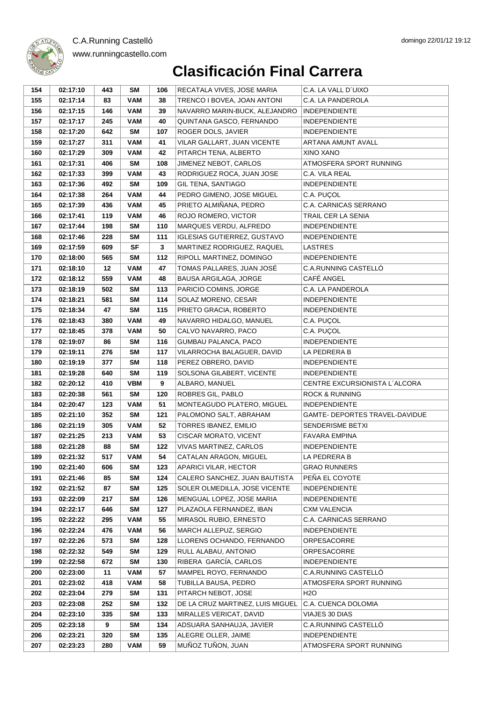#### domingo 22/01/12 19:12



| 154 | 02:17:10 | 443 | SM         | 106 | RECATALA VIVES, JOSE MARIA         | C.A. LA VALL D'UIXO            |
|-----|----------|-----|------------|-----|------------------------------------|--------------------------------|
| 155 | 02:17:14 | 83  | <b>VAM</b> | 38  | TRENCO I BOVEA, JOAN ANTONI        | C.A. LA PANDEROLA              |
| 156 | 02:17:15 | 146 | <b>VAM</b> | 39  | NAVARRO MARIN-BUCK, ALEJANDRO      | <b>INDEPENDIENTE</b>           |
| 157 | 02:17:17 | 245 | <b>VAM</b> | 40  | QUINTANA GASCO, FERNANDO           | <b>INDEPENDIENTE</b>           |
| 158 | 02:17:20 | 642 | <b>SM</b>  | 107 | ROGER DOLS, JAVIER                 | <b>INDEPENDIENTE</b>           |
| 159 | 02:17:27 | 311 | <b>VAM</b> | 41  | VILAR GALLART, JUAN VICENTE        | ARTANA AMUNT AVALL             |
| 160 | 02:17:29 | 309 | <b>VAM</b> | 42  | PITARCH TENA, ALBERTO              | XINO XANO                      |
| 161 | 02:17:31 | 406 | SM         | 108 | JIMENEZ NEBOT, CARLOS              | ATMOSFERA SPORT RUNNING        |
| 162 | 02:17:33 | 399 | <b>VAM</b> | 43  | RODRIGUEZ ROCA, JUAN JOSE          | C.A. VILA REAL                 |
| 163 | 02:17:36 | 492 | SM         | 109 | GIL TENA, SANTIAGO                 | <b>INDEPENDIENTE</b>           |
| 164 | 02:17:38 | 264 | <b>VAM</b> | 44  | PEDRO GIMENO, JOSE MIGUEL          | C.A. PUÇOL                     |
| 165 | 02:17:39 | 436 | <b>VAM</b> | 45  | PRIETO ALMIÑANA, PEDRO             | C.A. CARNICAS SERRANO          |
| 166 | 02:17:41 | 119 | VAM        | 46  | ROJO ROMERO, VICTOR                | TRAIL CER LA SENIA             |
| 167 | 02:17:44 | 198 | SM         | 110 | MARQUES VERDU, ALFREDO             | <b>INDEPENDIENTE</b>           |
| 168 | 02:17:46 | 228 | <b>SM</b>  | 111 | <b>IGLESIAS GUTIERREZ, GUSTAVO</b> | <b>INDEPENDIENTE</b>           |
| 169 | 02:17:59 | 609 | <b>SF</b>  | 3   | MARTINEZ RODRIGUEZ, RAQUEL         | <b>LASTRES</b>                 |
| 170 | 02:18:00 | 565 | SM         | 112 | RIPOLL MARTINEZ, DOMINGO           | <b>INDEPENDIENTE</b>           |
| 171 | 02:18:10 | 12  | <b>VAM</b> | 47  | TOMAS PALLARES, JUAN JOSÉ          | C.A.RUNNING CASTELLÓ           |
| 172 | 02:18:12 | 559 | <b>VAM</b> | 48  | <b>BAUSA ARGILAGA, JORGE</b>       | CAFÉ ANGEL                     |
| 173 | 02:18:19 | 502 | SM         | 113 | PARICIO COMINS, JORGE              | C.A. LA PANDEROLA              |
| 174 | 02:18:21 | 581 | SM         | 114 | SOLAZ MORENO, CESAR                | <b>INDEPENDIENTE</b>           |
| 175 | 02:18:34 | 47  | <b>SM</b>  | 115 | PRIETO GRACIA, ROBERTO             | <b>INDEPENDIENTE</b>           |
| 176 | 02:18:43 | 380 | <b>VAM</b> | 49  | NAVARRO HIDALGO, MANUEL            | C.A. PUÇOL                     |
| 177 | 02:18:45 | 378 | VAM        | 50  | CALVO NAVARRO, PACO                | C.A. PUÇOL                     |
| 178 | 02:19:07 | 86  | <b>SM</b>  | 116 | GUMBAU PALANCA, PACO               | <b>INDEPENDIENTE</b>           |
| 179 | 02:19:11 | 276 | SM         | 117 | VILARROCHA BALAGUER, DAVID         | LA PEDRERA B                   |
| 180 | 02:19:19 | 377 | SM         | 118 | PEREZ OBRERO, DAVID                | <b>INDEPENDIENTE</b>           |
| 181 | 02:19:28 | 640 | SM         | 119 | SOLSONA GILABERT, VICENTE          | <b>INDEPENDIENTE</b>           |
| 182 | 02:20:12 | 410 | VBM        | 9   | ALBARO, MANUEL                     | CENTRE EXCURSIONISTA L'ALCORA  |
| 183 | 02:20:38 | 561 | SM         | 120 | ROBRES GIL, PABLO                  | <b>ROCK &amp; RUNNING</b>      |
| 184 | 02:20:47 | 123 | <b>VAM</b> | 51  | MONTEAGUDO PLATERO, MIGUEL         | <b>INDEPENDIENTE</b>           |
| 185 | 02:21:10 | 352 | SM         | 121 | PALOMONO SALT, ABRAHAM             | GAMTE- DEPORTES TRAVEL-DAVIDUE |
| 186 | 02:21:19 | 305 | <b>VAM</b> | 52  | TORRES IBANEZ, EMILIO              | SENDERISME BETXI               |
| 187 | 02:21:25 | 213 | <b>VAM</b> | 53  | CISCAR MORATO, VICENT              | <b>FAVARA EMPINA</b>           |
| 188 | 02:21:28 | 88  | <b>SM</b>  | 122 | VIVAS MARTINEZ, CARLOS             | <b>INDEPENDIENTE</b>           |
| 189 | 02:21:32 | 517 | <b>VAM</b> | 54  | CATALAN ARAGON, MIGUEL             | LA PEDRERA B                   |
| 190 | 02:21:40 | 606 | SM         | 123 | APARICI VILAR, HECTOR              | <b>GRAO RUNNERS</b>            |
| 191 | 02:21:46 | 85  | <b>SM</b>  | 124 | CALERO SANCHEZ, JUAN BAUTISTA      | PEÑA EL COYOTE                 |
| 192 | 02:21:52 | 87  | <b>SM</b>  | 125 | SOLER OLMEDILLA, JOSE VICENTE      | <b>INDEPENDIENTE</b>           |
| 193 | 02:22:09 | 217 | <b>SM</b>  | 126 | MENGUAL LOPEZ, JOSE MARIA          | <b>INDEPENDIENTE</b>           |
| 194 | 02:22:17 | 646 | <b>SM</b>  | 127 | PLAZAOLA FERNANDEZ, IBAN           | <b>CXM VALENCIA</b>            |
| 195 | 02:22:22 | 295 | <b>VAM</b> | 55  | MIRASOL RUBIO, ERNESTO             | C.A. CARNICAS SERRANO          |
| 196 | 02:22:24 | 476 | <b>VAM</b> | 56  | MARCH ALLEPUZ, SERGIO              | <b>INDEPENDIENTE</b>           |
| 197 | 02:22:26 | 573 | <b>SM</b>  | 128 | LLORENS OCHANDO, FERNANDO          | ORPESACORRE                    |
| 198 | 02:22:32 | 549 | <b>SM</b>  | 129 | RULL ALABAU, ANTONIO               | ORPESACORRE                    |
| 199 | 02:22:58 | 672 | <b>SM</b>  | 130 | RIBERA GARCÍA, CARLOS              | <b>INDEPENDIENTE</b>           |
| 200 | 02:23:00 | 11  | VAM        | 57  | MAMPEL ROYO, FERNANDO              | C.A.RUNNING CASTELLÓ           |
| 201 | 02:23:02 | 418 | <b>VAM</b> | 58  | TUBILLA BAUSA, PEDRO               | ATMOSFERA SPORT RUNNING        |
| 202 | 02:23:04 | 279 | <b>SM</b>  | 131 | PITARCH NEBOT, JOSE                | H2O                            |
| 203 | 02:23:08 | 252 | <b>SM</b>  | 132 | DE LA CRUZ MARTINEZ, LUIS MIGUEL   | C.A. CUENCA DOLOMIA            |
| 204 | 02:23:10 | 335 | <b>SM</b>  | 133 | MIRALLES VERICAT, DAVID            | VIAJES 30 DIAS                 |
| 205 | 02:23:18 | 9   | <b>SM</b>  | 134 | ADSUARA SANHAUJA, JAVIER           | C.A.RUNNING CASTELLÓ           |
| 206 | 02:23:21 | 320 | <b>SM</b>  | 135 | ALEGRE OLLER, JAIME                | <b>INDEPENDIENTE</b>           |
| 207 | 02:23:23 | 280 | <b>VAM</b> | 59  | MUÑOZ TUÑON, JUAN                  | ATMOSFERA SPORT RUNNING        |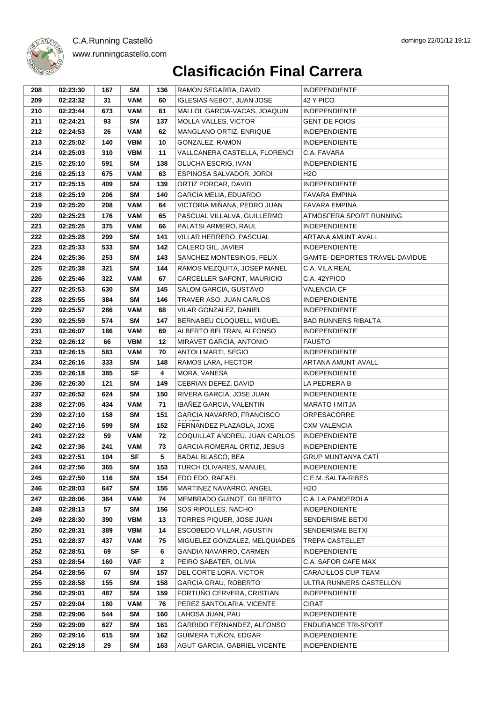

| 208        | 02:23:30             | 167       | SΜ               | 136          | RAMON SEGARRA, DAVID                                      | <b>INDEPENDIENTE</b>                         |
|------------|----------------------|-----------|------------------|--------------|-----------------------------------------------------------|----------------------------------------------|
| 209        | 02:23:32             | 31        | <b>VAM</b>       | 60           | <b>IGLESIAS NEBOT, JUAN JOSE</b>                          | 42 Y PICO                                    |
| 210        | 02:23:44             | 673       | <b>VAM</b>       | 61           | MALLOL GARCIA-VACAS, JOAQUIN                              | <b>INDEPENDIENTE</b>                         |
| 211        | 02:24:21             | 93        | SM               | 137          | MOLLA VALLES, VICTOR                                      | <b>GENT DE FOIOS</b>                         |
| 212        | 02:24:53             | 26        | <b>VAM</b>       | 62           | MANGLANO ORTIZ, ENRIQUE                                   | <b>INDEPENDIENTE</b>                         |
| 213        | 02:25:02             | 140       | <b>VBM</b>       | 10           | GONZALEZ, RAMON                                           | <b>INDEPENDIENTE</b>                         |
| 214        | 02:25:03             | 310       | <b>VBM</b>       | 11           | VALLCANERA CASTELLA, FLORENCI                             | C.A. FAVARA                                  |
| 215        | 02:25:10             | 591       | SM               | 138          | OLUCHA ESCRIG, IVAN                                       | <b>INDEPENDIENTE</b>                         |
| 216        | 02:25:13             | 675       | <b>VAM</b>       | 63           | ESPINOSA SALVADOR, JORDI                                  | H <sub>2</sub> O                             |
| 217        | 02:25:15             | 409       | SΜ               | 139          | ORTIZ PORCAR, DAVID                                       | <b>INDEPENDIENTE</b>                         |
| 218        | 02:25:19             | 206       | <b>SM</b>        | 140          | <b>GARCIA MELIA, EDUARDO</b>                              | <b>FAVARA EMPINA</b>                         |
| 219        | 02:25:20             | 208       | <b>VAM</b>       | 64           | VICTORIA MIÑANA, PEDRO JUAN                               | <b>FAVARA EMPINA</b>                         |
| 220        | 02:25:23             | 176       | <b>VAM</b>       | 65           | PASCUAL VILLALVA, GUILLERMO                               | ATMOSFERA SPORT RUNNING                      |
| 221        | 02:25:25             | 375       | <b>VAM</b>       | 66           | PALATSI ARMERO, RAUL                                      | <b>INDEPENDIENTE</b>                         |
| 222        | 02:25:28             | 299       | SΜ               | 141          | VILLAR HERRERO, PASCUAL                                   | ARTANA AMUNT AVALL                           |
| 223        | 02:25:33             | 533       | SΜ               | 142          | CALERO GIL, JAVIER                                        | <b>INDEPENDIENTE</b>                         |
| 224        | 02:25:36             | 253       | SΜ               | 143          | SANCHEZ MONTESINOS, FELIX                                 | GAMTE- DEPORTES TRAVEL-DAVIDUE               |
| 225        | 02:25:38             | 321       | <b>SM</b>        | 144          | RAMOS MEZQUITA, JOSEP MANEL                               | C.A. VILA REAL                               |
| 226        | 02:25:46             | 322       | <b>VAM</b>       | 67           | CARCELLER SAFONT, MAURICIO                                | C.A. 42YPICO                                 |
| 227        | 02:25:53             | 630       | SΜ               | 145          | SALOM GARCIA, GUSTAVO                                     | <b>VALENCIA CF</b>                           |
| 228        | 02:25:55             | 384       | <b>SM</b>        | 146          | TRAVER ASO, JUAN CARLOS                                   | <b>INDEPENDIENTE</b>                         |
| 229        | 02:25:57             | 286       | <b>VAM</b>       | 68           | VILAR GONZALEZ, DANIEL                                    | <b>INDEPENDIENTE</b>                         |
| 230        | 02:25:59             | 574       | <b>SM</b>        | 147          | BERNABEU CLOQUELL, MIGUEL                                 | <b>BAD RUNNERS RIBALTA</b>                   |
| 231        | 02:26:07             | 186       | <b>VAM</b>       | 69           | ALBERTO BELTRAN, ALFONSO                                  | <b>INDEPENDIENTE</b>                         |
| 232        | 02:26:12             | 66        | <b>VBM</b>       | 12           | MIRAVET GARCIA, ANTONIO                                   | <b>FAUSTO</b>                                |
| 233        | 02:26:15             | 583       | <b>VAM</b>       | 70           | ANTOLI MARTI, SEGIO                                       | <b>INDEPENDIENTE</b>                         |
| 234        | 02:26:16             | 333       | SM               | 148          | RAMOS LARA, HECTOR                                        | ARTANA AMUNT AVALL                           |
| 235        | 02:26:18             | 385       | <b>SF</b>        | 4            | MORA, VANESA                                              | <b>INDEPENDIENTE</b>                         |
| 236        | 02:26:30             | 121       | SΜ               | 149          | CEBRIAN DEFEZ, DAVID                                      | LA PEDRERA B                                 |
| 237        | 02:26:52             | 624       | SΜ               | 150          | RIVERA GARCIA, JOSE JUAN                                  | <b>INDEPENDIENTE</b>                         |
| 238        | 02:27:05             | 434       | <b>VAM</b>       | 71           | IBAÑEZ GARCIA, VALENTIN                                   | MARATO I MITJA<br><b>ORPESACORRE</b>         |
| 239        | 02:27:10             | 158       | SΜ               | 151          | GARCIA NAVARRO, FRANCISCO                                 | <b>CXM VALENCIA</b>                          |
| 240<br>241 | 02:27:16<br>02:27:22 | 599<br>59 | SΜ<br><b>VAM</b> | 152<br>72    | FERNANDEZ PLAZAOLA, JOXE<br>COQUILLAT ANDREU, JUAN CARLOS |                                              |
| 242        | 02:27:36             | 241       | <b>VAM</b>       | 73           | GARCIA-ROMERAL ORTIZ, JESUS                               | <b>INDEPENDIENTE</b><br><b>INDEPENDIENTE</b> |
| 243        | 02:27:51             | 104       | SF               | 5            | <b>BADAL BLASCO, BEA</b>                                  | <b>GRUP MUNTANYA CATI</b>                    |
| 244        | 02:27:56             | 365       | SM               | 153          | TURCH OLIVARES, MANUEL                                    | <b>INDEPENDIENTE</b>                         |
| 245        | 02:27:59             | 116       | <b>SM</b>        | 154          | EDO EDO, RAFAEL                                           | C.E.M. SALTA-RIBES                           |
| 246        | 02:28:03             | 647       | <b>SM</b>        | 155          | MARTINEZ NAVARRO, ANGEL                                   | H <sub>2</sub> O                             |
| 247        | 02:28:06             | 364       | <b>VAM</b>       | 74           | MEMBRADO GUINOT, GILBERTO                                 | C.A. LA PANDEROLA                            |
| 248        | 02:28:13             | 57        | <b>SM</b>        | 156          | SOS RIPOLLES, NACHO                                       | <b>INDEPENDIENTE</b>                         |
| 249        | 02:28:30             | 390       | <b>VBM</b>       | 13           | TORRES PIQUER, JOSE JUAN                                  | SENDERISME BETXI                             |
| 250        | 02:28:31             | 389       | <b>VBM</b>       | 14           | ESCOBEDO VILLAR, AGUSTIN                                  | SENDERISME BETXI                             |
| 251        | 02:28:37             | 437       | <b>VAM</b>       | 75           | MIGUELEZ GONZALEZ, MELQUIADES                             | TREPA CASTELLET                              |
| 252        | 02:28:51             | 69        | SF               | 6            | GANDIA NAVARRO, CARMEN                                    | <b>INDEPENDIENTE</b>                         |
| 253        | 02:28:54             | 160       | <b>VAF</b>       | $\mathbf{2}$ | PEIRO SABATER, OLIVIA                                     | C.A. SAFOR CAFE MAX                          |
| 254        | 02:28:56             | 67        | <b>SM</b>        | 157          | DEL CORTE LORA, VICTOR                                    | CARAJILLOS CUP TEAM                          |
| 255        | 02:28:58             | 155       | <b>SM</b>        | 158          | <b>GARCIA GRAU, ROBERTO</b>                               | ULTRA RUNNERS CASTELLON                      |
| 256        | 02:29:01             | 487       | <b>SM</b>        | 159          | FORTUÑO CERVERA, CRISTIAN                                 | <b>INDEPENDIENTE</b>                         |
| 257        | 02:29:04             | 180       | <b>VAM</b>       | 76           | PEREZ SANTOLARIA, VICENTE                                 | <b>CIRAT</b>                                 |
| 258        | 02:29:06             | 544       | SM               | 160          | LAHOSA JUAN, PAU                                          | <b>INDEPENDIENTE</b>                         |
| 259        | 02:29:09             | 627       | <b>SM</b>        | 161          | GARRIDO FERNANDEZ, ALFONSO                                | <b>ENDURANCE TRI-SPORT</b>                   |
| 260        | 02:29:16             | 615       | SM               | 162          | GUIMERA TUÑON, EDGAR                                      | <b>INDEPENDIENTE</b>                         |
| 261        | 02:29:18             | 29        | <b>SM</b>        | 163          | AGUT GARCIA, GABRIEL VICENTE                              | <b>INDEPENDIENTE</b>                         |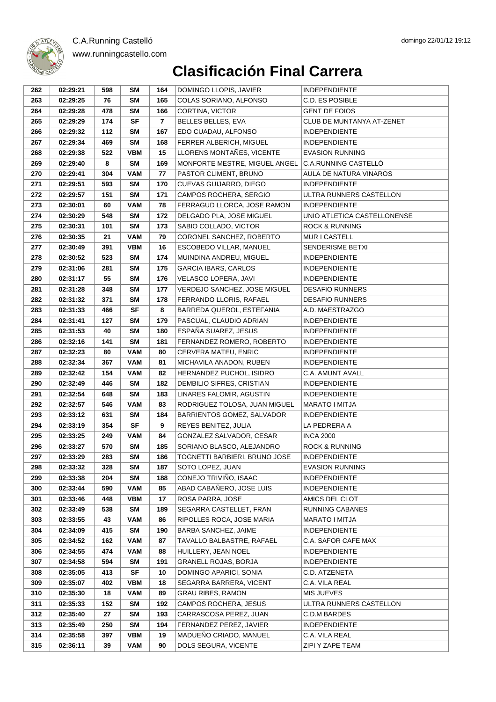| 262        | 02:29:21             | 598        | SM               | 164            | DOMINGO LLOPIS, JAVIER                      | <b>INDEPENDIENTE</b>                     |
|------------|----------------------|------------|------------------|----------------|---------------------------------------------|------------------------------------------|
| 263        | 02:29:25             | 76         | <b>SM</b>        | 165            | COLAS SORIANO, ALFONSO                      | C.D. ES POSIBLE                          |
| 264        | 02:29:28             | 478        | <b>SM</b>        | 166            | CORTINA, VICTOR                             | <b>GENT DE FOIOS</b>                     |
| 265        | 02:29:29             | 174        | <b>SF</b>        | $\overline{7}$ | BELLES BELLES, EVA                          | CLUB DE MUNTANYA AT-ZENET                |
| 266        | 02:29:32             | 112        | <b>SM</b>        | 167            | EDO CUADAU, ALFONSO                         | <b>INDEPENDIENTE</b>                     |
| 267        | 02:29:34             | 469        | SM               | 168            | FERRER ALBERICH, MIGUEL                     | <b>INDEPENDIENTE</b>                     |
| 268        | 02:29:38             | 522        | <b>VBM</b>       | 15             | LLORENS MONTAÑES, VICENTE                   | <b>EVASION RUNNING</b>                   |
| 269        | 02:29:40             | 8          | SM               | 169            | MONFORTE MESTRE, MIGUEL ANGEL               | C.A.RUNNING CASTELLÓ                     |
| 270        | 02:29:41             | 304        | <b>VAM</b>       | 77             | PASTOR CLIMENT, BRUNO                       | AULA DE NATURA VINAROS                   |
| 271        | 02:29:51             | 593        | <b>SM</b>        | 170            | CUEVAS GUIJARRO, DIEGO                      | <b>INDEPENDIENTE</b>                     |
| 272        | 02:29:57             | 151        | <b>SM</b>        | 171            | CAMPOS ROCHERA, SERGIO                      | ULTRA RUNNERS CASTELLON                  |
| 273        | 02:30:01             | 60         | <b>VAM</b>       | 78             | FERRAGUD LLORCA, JOSE RAMON                 | <b>INDEPENDIENTE</b>                     |
| 274        | 02:30:29             | 548        | <b>SM</b>        | 172            | DELGADO PLA, JOSE MIGUEL                    | UNIO ATLETICA CASTELLONENSE              |
| 275        | 02:30:31             | 101        | SM               | 173            | SABIO COLLADO, VICTOR                       | <b>ROCK &amp; RUNNING</b>                |
| 276        | 02:30:35             | 21         | <b>VAM</b>       | 79             | CORONEL SANCHEZ, ROBERTO                    | MUR I CASTELL                            |
| 277        | 02:30:49             | 391        | <b>VBM</b>       | 16             | ESCOBEDO VILLAR, MANUEL                     | SENDERISME BETXI                         |
| 278        | 02:30:52             | 523        | <b>SM</b>        | 174            | MUINDINA ANDREU, MIGUEL                     | <b>INDEPENDIENTE</b>                     |
| 279        | 02:31:06             | 281        | <b>SM</b>        | 175            | <b>GARCIA IBARS, CARLOS</b>                 | <b>INDEPENDIENTE</b>                     |
| 280        | 02:31:17             | 55         | SM               | 176            | <b>VELASCO LOPERA, JAVI</b>                 | <b>INDEPENDIENTE</b>                     |
| 281        | 02:31:28             | 348        | <b>SM</b>        | 177            | VERDEJO SANCHEZ, JOSE MIGUEL                | <b>DESAFIO RUNNERS</b>                   |
| 282        | 02:31:32             | 371        | <b>SM</b>        | 178            | FERRANDO LLORIS, RAFAEL                     | <b>DESAFIO RUNNERS</b>                   |
| 283        | 02:31:33             | 466        | <b>SF</b>        | 8              | BARREDA QUEROL, ESTEFANIA                   | A.D. MAESTRAZGO                          |
| 284        | 02:31:41             | 127        | <b>SM</b>        | 179            | PASCUAL, CLAUDIO ADRIAN                     | <b>INDEPENDIENTE</b>                     |
| 285        | 02:31:53             | 40         | <b>SM</b>        | 180            | ESPAÑA SUAREZ, JESUS                        | <b>INDEPENDIENTE</b>                     |
| 286        | 02:32:16             | 141        | <b>SM</b>        | 181            | FERNANDEZ ROMERO, ROBERTO                   | <b>INDEPENDIENTE</b>                     |
| 287        | 02:32:23             | 80         | <b>VAM</b>       | 80             | CERVERA MATEU, ENRIC                        | <b>INDEPENDIENTE</b>                     |
| 288        | 02:32:34             | 367        | <b>VAM</b>       | 81             | MICHAVILA ANADON, RUBEN                     | <b>INDEPENDIENTE</b>                     |
| 289        | 02:32:42             | 154        | <b>VAM</b>       | 82             | HERNANDEZ PUCHOL, ISIDRO                    | C.A. AMUNT AVALL                         |
| 290        | 02:32:49             | 446        | SM               | 182            | DEMBILIO SIFRES, CRISTIAN                   | <b>INDEPENDIENTE</b>                     |
| 291        | 02:32:54             | 648        | <b>SM</b>        | 183            | LINARES FALOMIR, AGUSTIN                    | <b>INDEPENDIENTE</b>                     |
| 292        | 02:32:57             | 546        | VAM              | 83             | RODRIGUEZ TOLOSA, JUAN MIGUEL               | MARATO I MITJA                           |
| 293        | 02:33:12             | 631        | SM               | 184            | BARRIENTOS GOMEZ, SALVADOR                  | <b>INDEPENDIENTE</b>                     |
| 294        | 02:33:19             | 354        | <b>SF</b>        | 9              | REYES BENITEZ, JULIA                        | LA PEDRERA A                             |
| 295        | 02:33:25             | 249        | <b>VAM</b>       | 84             | GONZALEZ SALVADOR, CESAR                    | <b>INCA 2000</b>                         |
| 296        | 02:33:27             | 570        | <b>SM</b>        | 185            | SORIANO BLASCO, ALEJANDRO                   | <b>ROCK &amp; RUNNING</b>                |
| 297        | 02:33:29             | 283        | SΜ               | 186            | TOGNETTI BARBIERI. BRUNO JOSE               | <b>INDEPENDIENTE</b>                     |
| 298        | 02:33:32             | 328        | SM               | 187            | SOTO LOPEZ, JUAN                            | <b>EVASION RUNNING</b>                   |
| 299        | 02:33:38             | 204        | <b>SM</b>        | 188            | CONEJO TRIVIÑO, ISAAC                       | <b>INDEPENDIENTE</b>                     |
| 300        | 02:33:44             | 590        | <b>VAM</b>       | 85             | ABAD CABAÑERO, JOSE LUIS                    | <b>INDEPENDIENTE</b>                     |
| 301<br>302 | 02:33:46             | 448<br>538 | VBM<br><b>SM</b> | 17<br>189      | ROSA PARRA, JOSE<br>SEGARRA CASTELLET, FRAN | AMICS DEL CLOT<br><b>RUNNING CABANES</b> |
| 303        | 02:33:49<br>02:33:55 | 43         | VAM              | 86             | RIPOLLES ROCA, JOSE MARIA                   | MARATO I MITJA                           |
| 304        | 02:34:09             | 415        | <b>SM</b>        | 190            | BARBA SANCHEZ, JAIME                        | <b>INDEPENDIENTE</b>                     |
| 305        | 02:34:52             | 162        | <b>VAM</b>       | 87             | TAVALLO BALBASTRE, RAFAEL                   | C.A. SAFOR CAFE MAX                      |
| 306        | 02:34:55             | 474        | <b>VAM</b>       | 88             | HUILLERY, JEAN NOEL                         | <b>INDEPENDIENTE</b>                     |
| 307        | 02:34:58             | 594        | <b>SM</b>        | 191            | <b>GRANELL ROJAS, BORJA</b>                 | <b>INDEPENDIENTE</b>                     |
| 308        | 02:35:05             | 413        | SF               | 10             | DOMINGO APARICI, SONIA                      | C.D. ATZENETA                            |
| 309        | 02:35:07             | 402        | <b>VBM</b>       | 18             | SEGARRA BARRERA, VICENT                     | C.A. VILA REAL                           |
| 310        | 02:35:30             | 18         | <b>VAM</b>       | 89             | <b>GRAU RIBES, RAMON</b>                    | <b>MIS JUEVES</b>                        |
| 311        | 02:35:33             | 152        | SM               | 192            | CAMPOS ROCHERA, JESUS                       | ULTRA RUNNERS CASTELLON                  |
| 312        | 02:35:40             | 27         | <b>SM</b>        | 193            | CARRASCOSA PEREZ, JUAN                      | C.D.M BARDES                             |
| 313        | 02:35:49             | 250        | <b>SM</b>        | 194            | FERNANDEZ PEREZ, JAVIER                     | <b>INDEPENDIENTE</b>                     |
| 314        | 02:35:58             | 397        | <b>VBM</b>       | 19             | MADUEÑO CRIADO, MANUEL                      | C.A. VILA REAL                           |
| 315        | 02:36:11             | 39         | <b>VAM</b>       | 90             | DOLS SEGURA, VICENTE                        | ZIPI Y ZAPE TEAM                         |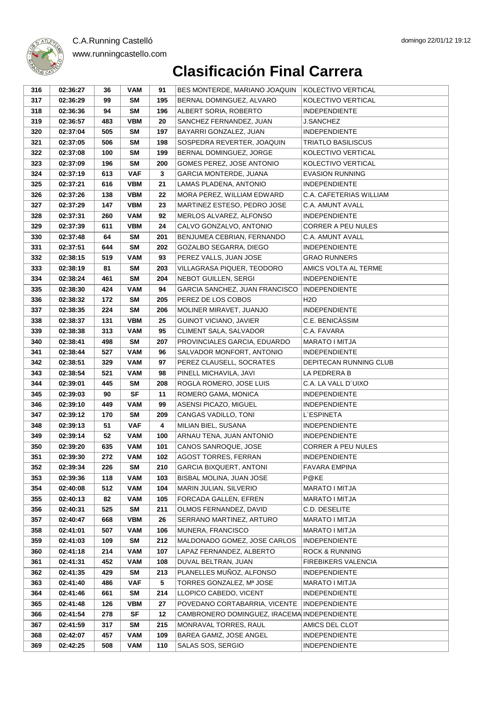



#### www.runningcastello.com

| 316 | 02:36:27 | 36  | VAM        | 91           | BES MONTERDE, MARIANO JOAQUIN               | KOLECTIVO VERTICAL         |
|-----|----------|-----|------------|--------------|---------------------------------------------|----------------------------|
| 317 | 02:36:29 | 99  | SM         | 195          | BERNAL DOMINGUEZ, ALVARO                    | KOLECTIVO VERTICAL         |
| 318 | 02:36:36 | 94  | <b>SM</b>  | 196          | ALBERT SORIA, ROBERTO                       | <b>INDEPENDIENTE</b>       |
| 319 | 02:36:57 | 483 | VBM        | 20           | SANCHEZ FERNANDEZ, JUAN                     | J.SANCHEZ                  |
| 320 | 02:37:04 | 505 | SM         | 197          | BAYARRI GONZALEZ, JUAN                      | <b>INDEPENDIENTE</b>       |
| 321 | 02:37:05 | 506 | <b>SM</b>  | 198          | SOSPEDRA REVERTER, JOAQUIN                  | <b>TRIATLO BASILISCUS</b>  |
| 322 | 02:37:08 | 100 | SM         | 199          | BERNAL DOMINGUEZ, JORGE                     | KOLECTIVO VERTICAL         |
| 323 | 02:37:09 | 196 | SM         | 200          | GOMES PEREZ, JOSE ANTONIO                   | KOLECTIVO VERTICAL         |
| 324 | 02:37:19 | 613 | <b>VAF</b> | $\mathbf{3}$ | <b>GARCIA MONTERDE, JUANA</b>               | <b>EVASION RUNNING</b>     |
| 325 | 02:37:21 | 616 | <b>VBM</b> | 21           | LAMAS PLADENA, ANTONIO                      | <b>INDEPENDIENTE</b>       |
| 326 | 02:37:26 | 138 | <b>VBM</b> | 22           | MORA PEREZ, WILLIAM EDWARD                  | C.A. CAFETERIAS WILLIAM    |
| 327 | 02:37:29 | 147 | <b>VBM</b> | 23           | MARTINEZ ESTESO, PEDRO JOSE                 | C.A. AMUNT AVALL           |
| 328 | 02:37:31 | 260 | <b>VAM</b> | 92           | MERLOS ALVAREZ, ALFONSO                     | <b>INDEPENDIENTE</b>       |
| 329 | 02:37:39 | 611 | <b>VBM</b> | 24           | CALVO GONZALVO, ANTONIO                     | <b>CORRER A PEU NULES</b>  |
| 330 | 02:37:48 | 64  | <b>SM</b>  | 201          | BENJUMEA CEBRIAN, FERNANDO                  | C.A. AMUNT AVALL           |
| 331 | 02:37:51 | 644 | <b>SM</b>  | 202          | GOZALBO SEGARRA, DIEGO                      | <b>INDEPENDIENTE</b>       |
| 332 | 02:38:15 | 519 | VAM        | 93           | PEREZ VALLS, JUAN JOSE                      | <b>GRAO RUNNERS</b>        |
| 333 | 02:38:19 | 81  | <b>SM</b>  | 203          | VILLAGRASA PIQUER, TEODORO                  | AMICS VOLTA AL TERME       |
| 334 | 02:38:24 | 461 | SM         | 204          | NEBOT GUILLEN, SERGI                        | <b>INDEPENDIENTE</b>       |
| 335 | 02:38:30 | 424 | <b>VAM</b> | 94           | GARCIA SANCHEZ, JUAN FRANCISCO              | <b>INDEPENDIENTE</b>       |
| 336 | 02:38:32 | 172 | <b>SM</b>  | 205          | PEREZ DE LOS COBOS                          | H <sub>2</sub> O           |
| 337 | 02:38:35 | 224 | <b>SM</b>  | 206          | MOLINER MIRAVET, JUANJO                     | <b>INDEPENDIENTE</b>       |
| 338 | 02:38:37 | 131 | <b>VBM</b> | 25           | <b>GUINOT VICIANO, JAVIER</b>               | C.E. BENICASSIM            |
| 339 | 02:38:38 | 313 | <b>VAM</b> | 95           | CLIMENT SALA, SALVADOR                      | C.A. FAVARA                |
| 340 | 02:38:41 | 498 | SM         | 207          | PROVINCIALES GARCIA, EDUARDO                | <b>MARATO I MITJA</b>      |
| 341 | 02:38:44 | 527 | <b>VAM</b> | 96           | SALVADOR MONFORT, ANTONIO                   | <b>INDEPENDIENTE</b>       |
| 342 | 02:38:51 | 329 | <b>VAM</b> | 97           | PEREZ CLAUSELL, SOCRATES                    | DEPITECAN RUNNING CLUB     |
| 343 | 02:38:54 | 521 | <b>VAM</b> | 98           | PINELL MICHAVILA, JAVI                      | LA PEDRERA B               |
| 344 | 02:39:01 | 445 | SM         | 208          | ROGLA ROMERO, JOSE LUIS                     | C.A. LA VALL D'UIXO        |
| 345 | 02:39:03 | 90  | <b>SF</b>  | 11           | ROMERO GAMA, MONICA                         | <b>INDEPENDIENTE</b>       |
| 346 | 02:39:10 | 449 | <b>VAM</b> | 99           | ASENSI PICAZO, MIGUEL                       | <b>INDEPENDIENTE</b>       |
| 347 | 02:39:12 | 170 | SM         | 209          | CANGAS VADILLO, TONI                        | L'ESPINETA                 |
| 348 | 02:39:13 | 51  | <b>VAF</b> | 4            | MILIAN BIEL, SUSANA                         | <b>INDEPENDIENTE</b>       |
| 349 | 02:39:14 | 52  | <b>VAM</b> | 100          | ARNAU TENA, JUAN ANTONIO                    | <b>INDEPENDIENTE</b>       |
| 350 | 02:39:20 | 635 | <b>VAM</b> | 101          | CANOS SANROQUE, JOSE                        | <b>CORRER A PEU NULES</b>  |
| 351 | 02:39:30 | 272 | <b>VAM</b> | 102          | <b>AGOST TORRES, FERRAN</b>                 | <b>INDEPENDIENTE</b>       |
| 352 | 02:39:34 | 226 | SM         | 210          | <b>GARCIA BIXQUERT, ANTONI</b>              | FAVARA EMPINA              |
| 353 | 02:39:36 | 118 | <b>VAM</b> | 103          | BISBAL MOLINA, JUAN JOSE                    | P@KE                       |
| 354 | 02:40:08 | 512 | <b>VAM</b> | 104          | MARIN JULIAN, SILVERIO                      | MARATO I MITJA             |
| 355 | 02:40:13 | 82  | VAM        | 105          | FORCADA GALLEN, EFREN                       | MARATO I MITJA             |
| 356 | 02:40:31 | 525 | <b>SM</b>  | 211          | OLMOS FERNANDEZ, DAVID                      | C.D. DESELITE              |
| 357 | 02:40:47 | 668 | VBM        | 26           | SERRANO MARTINEZ, ARTURO                    | <b>MARATO I MITJA</b>      |
| 358 | 02:41:01 | 507 | VAM        | 106          | MUNERA, FRANCISCO                           | MARATO I MITJA             |
| 359 | 02:41:03 | 109 | <b>SM</b>  | 212          | MALDONADO GOMEZ, JOSE CARLOS                | <b>INDEPENDIENTE</b>       |
| 360 | 02:41:18 | 214 | <b>VAM</b> | 107          | LAPAZ FERNANDEZ, ALBERTO                    | <b>ROCK &amp; RUNNING</b>  |
| 361 | 02:41:31 | 452 | <b>VAM</b> | 108          | DUVAL BELTRAN, JUAN                         | <b>FIREBIKERS VALENCIA</b> |
| 362 | 02:41:35 | 429 | <b>SM</b>  | 213          | PLANELLES MUÑOZ, ALFONSO                    | <b>INDEPENDIENTE</b>       |
| 363 | 02:41:40 | 486 | <b>VAF</b> | 5            | TORRES GONZALEZ, Mª JOSE                    | MARATO I MITJA             |
| 364 | 02:41:46 | 661 | <b>SM</b>  | 214          | LLOPICO CABEDO, VICENT                      | <b>INDEPENDIENTE</b>       |
| 365 | 02:41:48 | 126 | VBM        | 27           | POVEDANO CORTABARRIA, VICENTE               | <b>INDEPENDIENTE</b>       |
| 366 | 02:41:54 | 278 | SF         | 12           | CAMBRONERO DOMINGUEZ, IRACEMA INDEPENDIENTE |                            |
| 367 | 02:41:59 | 317 | <b>SM</b>  | 215          | MONRAVAL TORRES, RAUL                       | AMICS DEL CLOT             |
| 368 | 02:42:07 | 457 | <b>VAM</b> | 109          | BAREA GAMIZ, JOSE ANGEL                     | <b>INDEPENDIENTE</b>       |
| 369 | 02:42:25 | 508 | VAM        | 110          | SALAS SOS, SERGIO                           | INDEPENDIENTE              |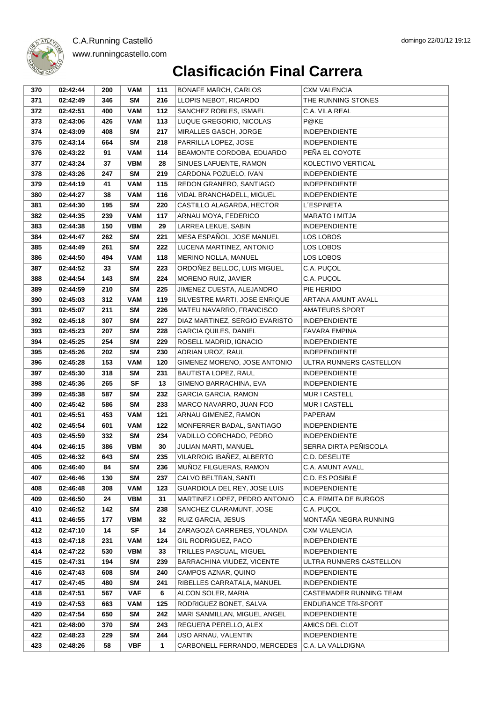| 370        | 02:42:44             | 200        | VAM                     | 111        | <b>BONAFE MARCH, CARLOS</b>                           | CXM VALENCIA                                 |
|------------|----------------------|------------|-------------------------|------------|-------------------------------------------------------|----------------------------------------------|
| 371        | 02:42:49             | 346        | <b>SM</b>               | 216        | LLOPIS NEBOT, RICARDO                                 | THE RUNNING STONES                           |
| 372        | 02:42:51             | 400        | <b>VAM</b>              | 112        | SANCHEZ ROBLES, ISMAEL                                | C.A. VILA REAL                               |
| 373        | 02:43:06             | 426        | <b>VAM</b>              | 113        | LUQUE GREGORIO, NICOLAS                               | P@KE                                         |
| 374        | 02:43:09             | 408        | <b>SM</b>               | 217        | MIRALLES GASCH, JORGE                                 | <b>INDEPENDIENTE</b>                         |
| 375        | 02:43:14             | 664        | <b>SM</b>               | 218        | PARRILLA LOPEZ, JOSE                                  | <b>INDEPENDIENTE</b>                         |
| 376        | 02:43:22             | 91         | <b>VAM</b>              | 114        | BEAMONTE CORDOBA, EDUARDO                             | PENA EL COYOTE                               |
| 377        | 02:43:24             | 37         | <b>VBM</b>              | 28         | SINUES LAFUENTE, RAMON                                | KOLECTIVO VERTICAL                           |
| 378        | 02:43:26             | 247        | SM                      | 219        | CARDONA POZUELO, IVAN                                 | <b>INDEPENDIENTE</b>                         |
| 379        | 02:44:19             | 41         | <b>VAM</b>              | 115        | REDON GRANERO, SANTIAGO                               | <b>INDEPENDIENTE</b>                         |
| 380        | 02:44:27             | 38         | <b>VAM</b>              | 116        | VIDAL BRANCHADELL, MIGUEL                             | <b>INDEPENDIENTE</b>                         |
| 381        | 02:44:30             | 195        | SM                      | 220        | CASTILLO ALAGARDA, HECTOR                             | L'ESPINETA                                   |
| 382        | 02:44:35             | 239        | <b>VAM</b>              | 117        | ARNAU MOYA, FEDERICO                                  | MARATO I MITJA                               |
| 383        | 02:44:38             | 150        | <b>VBM</b>              | 29         | LARREA LEKUE, SABIN                                   | <b>INDEPENDIENTE</b>                         |
| 384        | 02:44:47             | 262        | <b>SM</b>               | 221        | MESA ESPAÑOL, JOSE MANUEL                             | LOS LOBOS                                    |
| 385        | 02:44:49             | 261        | <b>SM</b>               | 222        | LUCENA MARTINEZ, ANTONIO                              | LOS LOBOS                                    |
| 386        | 02:44:50             | 494        | VAM                     | 118        | MERINO NOLLA, MANUEL                                  | LOS LOBOS                                    |
| 387        | 02:44:52             | 33         | SM                      | 223        | ORDOÑEZ BELLOC, LUIS MIGUEL                           | C.A. PUÇOL                                   |
| 388        | 02:44:54             | 143        | SM                      | 224        | MORENO RUIZ, JAVIER                                   | C.A. PUÇOL                                   |
| 389        | 02:44:59             | 210        | SM                      | 225        | JIMENEZ CUESTA, ALEJANDRO                             | PIE HERIDO                                   |
| 390        | 02:45:03             | 312        | <b>VAM</b>              | 119        | SILVESTRE MARTI, JOSE ENRIQUE                         | <b>ARTANA AMUNT AVALL</b>                    |
| 391        | 02:45:07             | 211        | SM                      | 226        | MATEU NAVARRO, FRANCISCO                              | <b>AMATEURS SPORT</b>                        |
| 392        | 02:45:18             | 307        | SM                      | 227        | DIAZ MARTINEZ, SERGIO EVARISTO                        | <b>INDEPENDIENTE</b>                         |
| 393        | 02:45:23             | 207        | SM                      | 228        | <b>GARCIA QUILES, DANIEL</b>                          | <b>FAVARA EMPINA</b>                         |
| 394        | 02:45:25             | 254        | <b>SM</b>               | 229        | ROSELL MADRID, IGNACIO                                | <b>INDEPENDIENTE</b>                         |
| 395        | 02:45:26             | 202        | <b>SM</b>               | 230        | ADRIAN UROZ, RAUL                                     | <b>INDEPENDIENTE</b>                         |
| 396        | 02:45:28             | 153        | VAM                     | 120        | GIMENEZ MORENO, JOSE ANTONIO                          | ULTRA RUNNERS CASTELLON                      |
| 397        | 02:45:30             | 318        | SM                      | 231        | BAUTISTA LOPEZ, RAUL                                  | <b>INDEPENDIENTE</b>                         |
| 398        | 02:45:36             | 265        | SF                      | 13         | GIMENO BARRACHINA, EVA                                | <b>INDEPENDIENTE</b>                         |
| 399        | 02:45:38             | 587        | SM                      | 232        | <b>GARCIA GARCIA, RAMON</b>                           | MUR I CASTELL                                |
| 400        | 02:45:42             | 586        | <b>SM</b>               | 233        | MARCO NAVARRO, JUAN FCO                               | MUR I CASTELL                                |
| 401        | 02:45:51             | 453        | <b>VAM</b>              | 121        | ARNAU GIMENEZ, RAMON                                  | PAPERAM                                      |
| 402        | 02:45:54             | 601        | <b>VAM</b>              | 122        | MONFERRER BADAL, SANTIAGO                             | <b>INDEPENDIENTE</b>                         |
| 403        | 02:45:59             | 332        | SM                      | 234        | VADILLO CORCHADO, PEDRO                               | <b>INDEPENDIENTE</b>                         |
| 404        | 02:46:15             | 386        | <b>VBM</b>              | 30         | JULIAN MARTI, MANUEL                                  | SERRA DIRTA PEÑISCOLA                        |
| 405        | 02:46:32             | 643        | <b>SM</b>               | 235        | VILARROIG IBAÑEZ, ALBERTO                             | C.D. DESELITE                                |
| 406        | 02:46:40             | 84         | SM                      | 236        | MUÑOZ FILGUERAS, RAMON                                | C.A. AMUNT AVALL                             |
| 407        | 02:46:46             | 130        | <b>SM</b>               | 237        | CALVO BELTRAN, SANTI                                  | C.D. ES POSIBLE                              |
| 408        | 02:46:48             | 308        | <b>VAM</b>              | 123        | GUARDIOLA DEL REY, JOSE LUIS                          | INDEPENDIENTE                                |
| 409        | 02:46:50             | 24         | <b>VBM</b>              | 31         | MARTINEZ LOPEZ, PEDRO ANTONIO                         | C.A. ERMITA DE BURGOS                        |
| 410        | 02:46:52             | 142        | <b>SM</b>               | 238        | SANCHEZ CLARAMUNT, JOSE                               | C.A. PUÇOL                                   |
| 411        | 02:46:55             | 177        | <b>VBM</b>              | 32         | RUIZ GARCIA, JESUS                                    | MONTAÑA NEGRA RUNNING                        |
| 412        | 02:47:10             | 14         | SF                      | 14         | ZARAGOZÁ CARRERES, YOLANDA                            | CXM VALENCIA                                 |
| 413        | 02:47:18             | 231        | <b>VAM</b>              | 124        | GIL RODRIGUEZ, PACO                                   | <b>INDEPENDIENTE</b>                         |
| 414<br>415 | 02:47:22<br>02:47:31 | 530<br>194 | <b>VBM</b><br><b>SM</b> | 33<br>239  | TRILLES PASCUAL, MIGUEL<br>BARRACHINA VIUDEZ, VICENTE | <b>INDEPENDIENTE</b>                         |
|            |                      |            |                         |            |                                                       | ULTRA RUNNERS CASTELLON                      |
| 416<br>417 | 02:47:43<br>02:47:45 | 608<br>480 | <b>SM</b><br><b>SM</b>  | 240<br>241 | CAMPOS AZNAR, QUINO<br>RIBELLES CARRATALA, MANUEL     | <b>INDEPENDIENTE</b><br><b>INDEPENDIENTE</b> |
| 418        | 02:47:51             | 567        | VAF                     | 6          | ALCON SOLER, MARIA                                    | CASTEMADER RUNNING TEAM                      |
| 419        | 02:47:53             | 663        | <b>VAM</b>              | 125        | RODRIGUEZ BONET, SALVA                                | <b>ENDURANCE TRI-SPORT</b>                   |
| 420        | 02:47:54             | 650        | <b>SM</b>               | 242        | MARI SANMILLAN, MIGUEL ANGEL                          | <b>INDEPENDIENTE</b>                         |
| 421        | 02:48:00             | 370        | <b>SM</b>               | 243        | REGUERA PERELLO, ALEX                                 | AMICS DEL CLOT                               |
| 422        | 02:48:23             | 229        | <b>SM</b>               | 244        | USO ARNAU, VALENTIN                                   | <b>INDEPENDIENTE</b>                         |
| 423        | 02:48:26             | 58         | <b>VBF</b>              | 1          | CARBONELL FERRANDO, MERCEDES                          | C.A. LA VALLDIGNA                            |
|            |                      |            |                         |            |                                                       |                                              |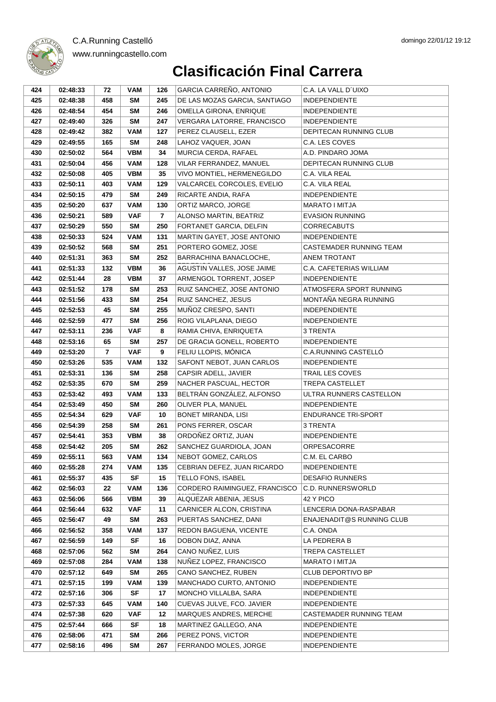#### **Clasificación Final Carrera** www.runningcastello.com

| 424 | 02:48:33 | 72             | <b>VAM</b> | 126            | GARCIA CARREÑO, ANTONIO       | C.A. LA VALL D'UIXO        |
|-----|----------|----------------|------------|----------------|-------------------------------|----------------------------|
| 425 | 02:48:38 | 458            | SΜ         | 245            | DE LAS MOZAS GARCIA, SANTIAGO | <b>INDEPENDIENTE</b>       |
| 426 | 02:48:54 | 454            | <b>SM</b>  | 246            | OMELLA GIRONA, ENRIQUE        | <b>INDEPENDIENTE</b>       |
| 427 | 02:49:40 | 326            | <b>SM</b>  | 247            | VERGARA LATORRE, FRANCISCO    | <b>INDEPENDIENTE</b>       |
| 428 | 02:49:42 | 382            | <b>VAM</b> | 127            | PEREZ CLAUSELL, EZER          | DEPITECAN RUNNING CLUB     |
| 429 | 02:49:55 | 165            | <b>SM</b>  | 248            | LAHOZ VAQUER, JOAN            | C.A. LES COVES             |
| 430 | 02:50:02 | 564            | <b>VBM</b> | 34             | MURCIA CERDA, RAFAEL          | A.D. PINDARO JOMA          |
| 431 | 02:50:04 | 456            | <b>VAM</b> | 128            | VILAR FERRANDEZ, MANUEL       | DEPITECAN RUNNING CLUB     |
| 432 | 02:50:08 | 405            | <b>VBM</b> | 35             | VIVO MONTIEL, HERMENEGILDO    | C.A. VILA REAL             |
| 433 | 02:50:11 | 403            | <b>VAM</b> | 129            | VALCARCEL CORCOLES, EVELIO    | C.A. VILA REAL             |
| 434 | 02:50:15 | 479            | SM         | 249            | RICARTE ANDIA, RAFA           | <b>INDEPENDIENTE</b>       |
| 435 | 02:50:20 | 637            | <b>VAM</b> | 130            | ORTIZ MARCO, JORGE            | <b>MARATO I MITJA</b>      |
| 436 | 02:50:21 | 589            | <b>VAF</b> | $\overline{7}$ | ALONSO MARTIN, BEATRIZ        | <b>EVASION RUNNING</b>     |
| 437 | 02:50:29 | 550            | SM         | 250            | FORTANET GARCIA, DELFIN       | <b>CORRECABUTS</b>         |
| 438 | 02:50:33 | 524            | <b>VAM</b> | 131            | MARTIN GAYET, JOSE ANTONIO    | <b>INDEPENDIENTE</b>       |
| 439 | 02:50:52 | 568            | SM         | 251            | PORTERO GOMEZ, JOSE           | CASTEMADER RUNNING TEAM    |
| 440 | 02:51:31 | 363            | <b>SM</b>  | 252            | BARRACHINA BANACLOCHE,        | ANEM TROTANT               |
| 441 | 02:51:33 | 132            | <b>VBM</b> | 36             | AGUSTIN VALLES, JOSE JAIME    | C.A. CAFETERIAS WILLIAM    |
| 442 | 02:51:44 | 28             | <b>VBM</b> | 37             | ARMENGOL TORRENT, JOSEP       | <b>INDEPENDIENTE</b>       |
| 443 | 02:51:52 | 178            | SΜ         | 253            | RUIZ SANCHEZ, JOSE ANTONIO    | ATMOSFERA SPORT RUNNING    |
| 444 | 02:51:56 | 433            | SΜ         | 254            | RUIZ SANCHEZ, JESUS           | MONTAÑA NEGRA RUNNING      |
| 445 | 02:52:53 | 45             | <b>SM</b>  | 255            | MUÑOZ CRESPO, SANTI           | <b>INDEPENDIENTE</b>       |
| 446 | 02:52:59 | 477            | SΜ         | 256            | ROIG VILAPLANA, DIEGO         | <b>INDEPENDIENTE</b>       |
| 447 | 02:53:11 | 236            | <b>VAF</b> | 8              | RAMIA CHIVA, ENRIQUETA        | 3 TRENTA                   |
| 448 | 02:53:16 | 65             | SΜ         | 257            | DE GRACIA GONELL, ROBERTO     | <b>INDEPENDIENTE</b>       |
| 449 | 02:53:20 | $\overline{7}$ | <b>VAF</b> | 9              | FELIU LLOPIS, MÓNICA          | C.A.RUNNING CASTELLO       |
| 450 | 02:53:26 | 535            | <b>VAM</b> | 132            | SAFONT NEBOT, JUAN CARLOS     | <b>INDEPENDIENTE</b>       |
| 451 | 02:53:31 | 136            | <b>SM</b>  | 258            | CAPSIR ADELL, JAVIER          | TRAIL LES COVES            |
| 452 | 02:53:35 | 670            | <b>SM</b>  | 259            | NACHER PASCUAL, HECTOR        | TREPA CASTELLET            |
| 453 | 02:53:42 | 493            | <b>VAM</b> | 133            | BELTRÁN GONZÁLEZ, ALFONSO     | ULTRA RUNNERS CASTELLON    |
| 454 | 02:53:49 | 450            | <b>SM</b>  | 260            | OLIVER PLA, MANUEL            | <b>INDEPENDIENTE</b>       |
| 455 | 02:54:34 | 629            | <b>VAF</b> | 10             | <b>BONET MIRANDA, LISI</b>    | <b>ENDURANCE TRI-SPORT</b> |
| 456 | 02:54:39 | 258            | <b>SM</b>  | 261            | PONS FERRER, OSCAR            | 3 TRENTA                   |
| 457 | 02:54:41 | 353            | <b>VBM</b> | 38             | ORDOÑEZ ORTIZ, JUAN           | <b>INDEPENDIENTE</b>       |
| 458 | 02:54:42 | 205            | <b>SM</b>  | 262            | SANCHEZ GUARDIOLA, JOAN       | ORPESACORRE                |
| 459 | 02:55:11 | 563            | VAM        | 134            | NEBOT GOMEZ, CARLOS           | C.M. EL CARBO              |
| 460 | 02:55:28 | 274            | <b>VAM</b> | 135            | CEBRIAN DEFEZ, JUAN RICARDO   | <b>INDEPENDIENTE</b>       |
| 461 | 02:55:37 | 435            | SF         | 15             | TELLO FONS, ISABEL            | <b>DESAFIO RUNNERS</b>     |
| 462 | 02:56:03 | 22             | <b>VAM</b> | 136            | CORDERO RAIMINGUEZ, FRANCISCO | C.D. RUNNERSWORLD          |
| 463 | 02:56:06 | 566            | <b>VBM</b> | 39             | ALQUEZAR ABENIA, JESUS        | 42 Y PICO                  |
| 464 | 02:56:44 | 632            | <b>VAF</b> | 11             | CARNICER ALCON, CRISTINA      | LENCERIA DONA-RASPABAR     |
| 465 | 02:56:47 | 49             | SM         | 263            | PUERTAS SANCHEZ, DANI         | ENAJENADIT@S RUNNING CLUB  |
| 466 | 02:56:52 | 358            | <b>VAM</b> | 137            | REDON BAGUENA, VICENTE        | C.A. ONDA                  |
| 467 | 02:56:59 | 149            | SF         | 16             | DOBON DIAZ, ANNA              | LA PEDRERA B               |
| 468 | 02:57:06 | 562            | <b>SM</b>  | 264            | CANO NUÑEZ, LUIS              | TREPA CASTELLET            |
| 469 | 02:57:08 | 284            | <b>VAM</b> | 138            | NUÑEZ LOPEZ, FRANCISCO        | MARATO I MITJA             |
| 470 | 02:57:12 | 649            | SM         | 265            | CANO SANCHEZ, RUBEN           | <b>CLUB DEPORTIVO BP</b>   |
| 471 | 02:57:15 | 199            | <b>VAM</b> | 139            | MANCHADO CURTO, ANTONIO       | <b>INDEPENDIENTE</b>       |
| 472 | 02:57:16 | 306            | SF         | 17             | MONCHO VILLALBA, SARA         | <b>INDEPENDIENTE</b>       |
| 473 | 02:57:33 | 645            | <b>VAM</b> | 140            | CUEVAS JULVE, FCO. JAVIER     | <b>INDEPENDIENTE</b>       |
| 474 | 02:57:38 | 620            | VAF        | 12             | MARQUES ANDRES, MERCHE        | CASTEMADER RUNNING TEAM    |
| 475 | 02:57:44 | 666            | SF         | 18             | MARTINEZ GALLEGO, ANA         | <b>INDEPENDIENTE</b>       |
| 476 | 02:58:06 | 471            | <b>SM</b>  | 266            | PEREZ PONS, VICTOR            | <b>INDEPENDIENTE</b>       |
| 477 | 02:58:16 | 496            | SM         | 267            | FERRANDO MOLES, JORGE         | <b>INDEPENDIENTE</b>       |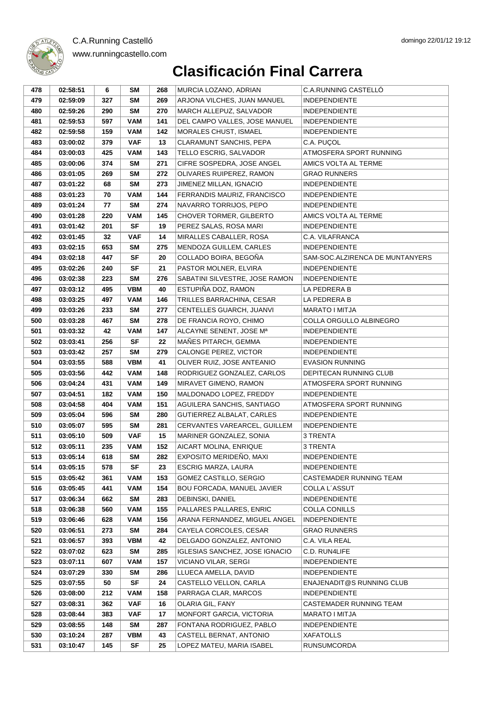| 269<br>ARJONA VILCHES, JUAN MANUEL<br>479<br>02:59:09<br>SM<br><b>INDEPENDIENTE</b><br>327<br>MARCH ALLEPUZ, SALVADOR<br>480<br>02:59:26<br>290<br><b>SM</b><br>270<br><b>INDEPENDIENTE</b><br><b>VAM</b><br>481<br>02:59:53<br>597<br>141<br>DEL CAMPO VALLES, JOSE MANUEL<br><b>INDEPENDIENTE</b><br><b>VAM</b><br>142<br>MORALES CHUST, ISMAEL<br>482<br>02:59:58<br>159<br><b>INDEPENDIENTE</b><br>483<br>03:00:02<br>379<br><b>VAF</b><br>13<br>CLARAMUNT SANCHIS, PEPA<br>C.A. PUÇOL<br>143<br>ATMOSFERA SPORT RUNNING<br>484<br>03:00:03<br>425<br><b>VAM</b><br>TELLO ESCRIG, SALVADOR<br>03:00:06<br>374<br>SM<br>271<br>CIFRE SOSPEDRA, JOSE ANGEL<br>AMICS VOLTA AL TERME<br>485<br><b>SM</b><br>272<br>OLIVARES RUIPEREZ, RAMON<br>486<br>03:01:05<br>269<br><b>GRAO RUNNERS</b><br>03:01:22<br>SM<br>273<br>JIMENEZ MILLAN, IGNACIO<br><b>INDEPENDIENTE</b><br>487<br>68<br><b>VAM</b><br>144<br>FERRANDIS MAURIZ, FRANCISCO<br>488<br>03:01:23<br>70<br><b>INDEPENDIENTE</b><br>274<br>NAVARRO TORRIJOS, PEPO<br>489<br>03:01:24<br>SM<br><b>INDEPENDIENTE</b><br>77<br>145<br>CHOVER TORMER, GILBERTO<br>490<br>03:01:28<br>220<br><b>VAM</b><br>AMICS VOLTA AL TERME<br><b>SF</b><br>491<br>03:01:42<br>201<br>19<br>PEREZ SALAS, ROSA MARI<br><b>INDEPENDIENTE</b><br>14<br>32<br><b>VAF</b><br>MIRALLES CABALLER, ROSA<br>C.A. VILAFRANCA<br>492<br>03:01:45<br>MENDOZA GUILLEM, CARLES<br>493<br>03:02:15<br>653<br><b>SM</b><br>275<br><b>INDEPENDIENTE</b><br><b>SF</b><br>494<br>03:02:18<br>447<br>20<br>COLLADO BOIRA, BEGOÑA<br>SAM-SOC.ALZIRENCA DE MUNTANYERS<br><b>SF</b><br>495<br>03:02:26<br>240<br>21<br>PASTOR MOLNER, ELVIRA<br><b>INDEPENDIENTE</b><br>496<br>03:02:38<br>223<br><b>SM</b><br>276<br>SABATINI SILVESTRE, JOSE RAMON<br><b>INDEPENDIENTE</b><br><b>VBM</b><br>40<br>ESTUPIÑA DOZ, RAMON<br>497<br>03:03:12<br>495<br>LA PEDRERA B<br>498<br>03:03:25<br>497<br><b>VAM</b><br>146<br>TRILLES BARRACHINA, CESAR<br>LA PEDRERA B<br>277<br>CENTELLES GUARCH, JUANVI<br>MARATO I MITJA<br>499<br>03:03:26<br>233<br>SM<br>SM<br>278<br>DE FRANCIA ROYO, CHIMO<br>COLLA ORGULLO ALBINEGRO<br>500<br>03:03:28<br>467<br>501<br>42<br><b>VAM</b><br>147<br>ALCAYNE SENENT, JOSE Mª<br><b>INDEPENDIENTE</b><br>03:03:32<br><b>SF</b><br>MAÑES PITARCH, GEMMA<br>502<br>256<br>22<br><b>INDEPENDIENTE</b><br>03:03:41<br>503<br>03:03:42<br>257<br>SM<br>279<br>CALONGE PEREZ, VICTOR<br><b>INDEPENDIENTE</b><br><b>VBM</b><br>504<br>03:03:55<br>588<br>41<br>OLIVER RUIZ, JOSE ANTEANIO<br><b>EVASION RUNNING</b><br><b>VAM</b><br>148<br>RODRIGUEZ GONZALEZ, CARLOS<br>DEPITECAN RUNNING CLUB<br>505<br>03:03:56<br>442<br>149<br>506<br>03:04:24<br>431<br><b>VAM</b><br>MIRAVET GIMENO, RAMON<br>ATMOSFERA SPORT RUNNING<br><b>VAM</b><br>150<br>507<br>03:04:51<br>182<br>MALDONADO LOPEZ, FREDDY<br><b>INDEPENDIENTE</b><br><b>VAM</b><br>151<br>AGUILERA SANCHIS, SANTIAGO<br>ATMOSFERA SPORT RUNNING<br>508<br>03:04:58<br>404<br>280<br>509<br>03:05:04<br>596<br>SM<br>GUTIERREZ ALBALAT, CARLES<br><b>INDEPENDIENTE</b><br>CERVANTES VAREARCEL, GUILLEM<br>510<br>03:05:07<br>595<br>SM<br>281<br><b>INDEPENDIENTE</b><br><b>VAF</b><br>15<br>511<br>03:05:10<br>509<br>MARINER GONZALEZ, SONIA<br>3 TRENTA<br>512<br>152<br>AICART MOLINA, ENRIQUE<br>03:05:11<br>235<br><b>VAM</b><br>3 TRENTA<br><b>SM</b><br>513<br>03:05:14<br>618<br>282<br>EXPOSITO MERIDEÑO, MAXI<br><b>INDEPENDIENTE</b><br>514<br>03:05:15<br>SF<br>23<br>578<br>ESCRIG MARZA, LAURA<br><b>INDEPENDIENTE</b><br>515<br>03:05:42<br><b>VAM</b><br>153<br>GOMEZ CASTILLO, SERGIO<br>CASTEMADER RUNNING TEAM<br>361<br>154<br>516<br>03:05:45<br>441<br><b>VAM</b><br><b>BOU FORCADA, MANUEL JAVIER</b><br>COLLA L'ASSUT<br>283<br>517<br>03:06:34<br>662<br><b>SM</b><br>DEBINSKI, DANIEL<br><b>INDEPENDIENTE</b><br>155<br>518<br>03:06:38<br>560<br><b>VAM</b><br>PALLARES PALLARES, ENRIC<br><b>COLLA CONILLS</b><br>156<br>519<br>03:06:46<br>628<br><b>VAM</b><br>ARANA FERNANDEZ, MIGUEL ANGEL<br><b>INDEPENDIENTE</b><br>284<br>520<br>03:06:51<br>273<br><b>SM</b><br>CAYELA CORCOLES, CESAR<br><b>GRAO RUNNERS</b><br>42<br>521<br>03:06:57<br>393<br><b>VBM</b><br>DELGADO GONZALEZ, ANTONIO<br>C.A. VILA REAL<br>285<br><b>IGLESIAS SANCHEZ, JOSE IGNACIO</b><br>522<br>03:07:02<br>623<br>SM<br>C.D. RUN4LIFE<br>157<br>523<br><b>VAM</b><br>03:07:11<br>607<br>VICIANO VILAR, SERGI<br><b>INDEPENDIENTE</b><br>524<br>03:07:29<br>330<br><b>SM</b><br>286<br>LLUECA AMELLA, DAVID<br><b>INDEPENDIENTE</b><br>525<br><b>SF</b><br>03:07:55<br>50<br>24<br>CASTELLO VELLON, CARLA<br>ENAJENADIT@S RUNNING CLUB<br>526<br><b>VAM</b><br>158<br>03:08:00<br>212<br>PARRAGA CLAR, MARCOS<br><b>INDEPENDIENTE</b><br>527<br>03:08:31<br>362<br><b>VAF</b><br>16<br>OLARIA GIL, FANY<br>CASTEMADER RUNNING TEAM<br>528<br>03:08:44<br>383<br><b>VAF</b><br>17<br>MONFORT GARCIA, VICTORIA<br>MARATO I MITJA<br>529<br>03:08:55<br><b>SM</b><br>287<br>FONTANA RODRIGUEZ, PABLO<br><b>INDEPENDIENTE</b><br>148<br><b>VBM</b><br>43<br>530<br>03:10:24<br>287<br>CASTELL BERNAT, ANTONIO<br><b>XAFATOLLS</b> | 478 | 02:58:51 | 6 | <b>SM</b> | 268 | MURCIA LOZANO, ADRIAN | C.A.RUNNING CASTELLÓ |
|-----------------------------------------------------------------------------------------------------------------------------------------------------------------------------------------------------------------------------------------------------------------------------------------------------------------------------------------------------------------------------------------------------------------------------------------------------------------------------------------------------------------------------------------------------------------------------------------------------------------------------------------------------------------------------------------------------------------------------------------------------------------------------------------------------------------------------------------------------------------------------------------------------------------------------------------------------------------------------------------------------------------------------------------------------------------------------------------------------------------------------------------------------------------------------------------------------------------------------------------------------------------------------------------------------------------------------------------------------------------------------------------------------------------------------------------------------------------------------------------------------------------------------------------------------------------------------------------------------------------------------------------------------------------------------------------------------------------------------------------------------------------------------------------------------------------------------------------------------------------------------------------------------------------------------------------------------------------------------------------------------------------------------------------------------------------------------------------------------------------------------------------------------------------------------------------------------------------------------------------------------------------------------------------------------------------------------------------------------------------------------------------------------------------------------------------------------------------------------------------------------------------------------------------------------------------------------------------------------------------------------------------------------------------------------------------------------------------------------------------------------------------------------------------------------------------------------------------------------------------------------------------------------------------------------------------------------------------------------------------------------------------------------------------------------------------------------------------------------------------------------------------------------------------------------------------------------------------------------------------------------------------------------------------------------------------------------------------------------------------------------------------------------------------------------------------------------------------------------------------------------------------------------------------------------------------------------------------------------------------------------------------------------------------------------------------------------------------------------------------------------------------------------------------------------------------------------------------------------------------------------------------------------------------------------------------------------------------------------------------------------------------------------------------------------------------------------------------------------------------------------------------------------------------------------------------------------------------------------------------------------------------------------------------------------------------------------------------------------------------------------------------------------------------------------------------------------------------------------------------------------------------------------------------------------------------------------------------------------------------------------------------------------------------------------------------------------------------------------------------------------------------------------------------------------------------------------------------------------------------------------------------------------------------------------------------------------------------------------------------------------------------------------------------------------------------------------------------------------------------------------------------------|-----|----------|---|-----------|-----|-----------------------|----------------------|
|                                                                                                                                                                                                                                                                                                                                                                                                                                                                                                                                                                                                                                                                                                                                                                                                                                                                                                                                                                                                                                                                                                                                                                                                                                                                                                                                                                                                                                                                                                                                                                                                                                                                                                                                                                                                                                                                                                                                                                                                                                                                                                                                                                                                                                                                                                                                                                                                                                                                                                                                                                                                                                                                                                                                                                                                                                                                                                                                                                                                                                                                                                                                                                                                                                                                                                                                                                                                                                                                                                                                                                                                                                                                                                                                                                                                                                                                                                                                                                                                                                                                                                                                                                                                                                                                                                                                                                                                                                                                                                                                                                                                                                                                                                                                                                                                                                                                                                                                                                                                                                                                                                                                               |     |          |   |           |     |                       |                      |
|                                                                                                                                                                                                                                                                                                                                                                                                                                                                                                                                                                                                                                                                                                                                                                                                                                                                                                                                                                                                                                                                                                                                                                                                                                                                                                                                                                                                                                                                                                                                                                                                                                                                                                                                                                                                                                                                                                                                                                                                                                                                                                                                                                                                                                                                                                                                                                                                                                                                                                                                                                                                                                                                                                                                                                                                                                                                                                                                                                                                                                                                                                                                                                                                                                                                                                                                                                                                                                                                                                                                                                                                                                                                                                                                                                                                                                                                                                                                                                                                                                                                                                                                                                                                                                                                                                                                                                                                                                                                                                                                                                                                                                                                                                                                                                                                                                                                                                                                                                                                                                                                                                                                               |     |          |   |           |     |                       |                      |
|                                                                                                                                                                                                                                                                                                                                                                                                                                                                                                                                                                                                                                                                                                                                                                                                                                                                                                                                                                                                                                                                                                                                                                                                                                                                                                                                                                                                                                                                                                                                                                                                                                                                                                                                                                                                                                                                                                                                                                                                                                                                                                                                                                                                                                                                                                                                                                                                                                                                                                                                                                                                                                                                                                                                                                                                                                                                                                                                                                                                                                                                                                                                                                                                                                                                                                                                                                                                                                                                                                                                                                                                                                                                                                                                                                                                                                                                                                                                                                                                                                                                                                                                                                                                                                                                                                                                                                                                                                                                                                                                                                                                                                                                                                                                                                                                                                                                                                                                                                                                                                                                                                                                               |     |          |   |           |     |                       |                      |
|                                                                                                                                                                                                                                                                                                                                                                                                                                                                                                                                                                                                                                                                                                                                                                                                                                                                                                                                                                                                                                                                                                                                                                                                                                                                                                                                                                                                                                                                                                                                                                                                                                                                                                                                                                                                                                                                                                                                                                                                                                                                                                                                                                                                                                                                                                                                                                                                                                                                                                                                                                                                                                                                                                                                                                                                                                                                                                                                                                                                                                                                                                                                                                                                                                                                                                                                                                                                                                                                                                                                                                                                                                                                                                                                                                                                                                                                                                                                                                                                                                                                                                                                                                                                                                                                                                                                                                                                                                                                                                                                                                                                                                                                                                                                                                                                                                                                                                                                                                                                                                                                                                                                               |     |          |   |           |     |                       |                      |
|                                                                                                                                                                                                                                                                                                                                                                                                                                                                                                                                                                                                                                                                                                                                                                                                                                                                                                                                                                                                                                                                                                                                                                                                                                                                                                                                                                                                                                                                                                                                                                                                                                                                                                                                                                                                                                                                                                                                                                                                                                                                                                                                                                                                                                                                                                                                                                                                                                                                                                                                                                                                                                                                                                                                                                                                                                                                                                                                                                                                                                                                                                                                                                                                                                                                                                                                                                                                                                                                                                                                                                                                                                                                                                                                                                                                                                                                                                                                                                                                                                                                                                                                                                                                                                                                                                                                                                                                                                                                                                                                                                                                                                                                                                                                                                                                                                                                                                                                                                                                                                                                                                                                               |     |          |   |           |     |                       |                      |
|                                                                                                                                                                                                                                                                                                                                                                                                                                                                                                                                                                                                                                                                                                                                                                                                                                                                                                                                                                                                                                                                                                                                                                                                                                                                                                                                                                                                                                                                                                                                                                                                                                                                                                                                                                                                                                                                                                                                                                                                                                                                                                                                                                                                                                                                                                                                                                                                                                                                                                                                                                                                                                                                                                                                                                                                                                                                                                                                                                                                                                                                                                                                                                                                                                                                                                                                                                                                                                                                                                                                                                                                                                                                                                                                                                                                                                                                                                                                                                                                                                                                                                                                                                                                                                                                                                                                                                                                                                                                                                                                                                                                                                                                                                                                                                                                                                                                                                                                                                                                                                                                                                                                               |     |          |   |           |     |                       |                      |
|                                                                                                                                                                                                                                                                                                                                                                                                                                                                                                                                                                                                                                                                                                                                                                                                                                                                                                                                                                                                                                                                                                                                                                                                                                                                                                                                                                                                                                                                                                                                                                                                                                                                                                                                                                                                                                                                                                                                                                                                                                                                                                                                                                                                                                                                                                                                                                                                                                                                                                                                                                                                                                                                                                                                                                                                                                                                                                                                                                                                                                                                                                                                                                                                                                                                                                                                                                                                                                                                                                                                                                                                                                                                                                                                                                                                                                                                                                                                                                                                                                                                                                                                                                                                                                                                                                                                                                                                                                                                                                                                                                                                                                                                                                                                                                                                                                                                                                                                                                                                                                                                                                                                               |     |          |   |           |     |                       |                      |
|                                                                                                                                                                                                                                                                                                                                                                                                                                                                                                                                                                                                                                                                                                                                                                                                                                                                                                                                                                                                                                                                                                                                                                                                                                                                                                                                                                                                                                                                                                                                                                                                                                                                                                                                                                                                                                                                                                                                                                                                                                                                                                                                                                                                                                                                                                                                                                                                                                                                                                                                                                                                                                                                                                                                                                                                                                                                                                                                                                                                                                                                                                                                                                                                                                                                                                                                                                                                                                                                                                                                                                                                                                                                                                                                                                                                                                                                                                                                                                                                                                                                                                                                                                                                                                                                                                                                                                                                                                                                                                                                                                                                                                                                                                                                                                                                                                                                                                                                                                                                                                                                                                                                               |     |          |   |           |     |                       |                      |
|                                                                                                                                                                                                                                                                                                                                                                                                                                                                                                                                                                                                                                                                                                                                                                                                                                                                                                                                                                                                                                                                                                                                                                                                                                                                                                                                                                                                                                                                                                                                                                                                                                                                                                                                                                                                                                                                                                                                                                                                                                                                                                                                                                                                                                                                                                                                                                                                                                                                                                                                                                                                                                                                                                                                                                                                                                                                                                                                                                                                                                                                                                                                                                                                                                                                                                                                                                                                                                                                                                                                                                                                                                                                                                                                                                                                                                                                                                                                                                                                                                                                                                                                                                                                                                                                                                                                                                                                                                                                                                                                                                                                                                                                                                                                                                                                                                                                                                                                                                                                                                                                                                                                               |     |          |   |           |     |                       |                      |
|                                                                                                                                                                                                                                                                                                                                                                                                                                                                                                                                                                                                                                                                                                                                                                                                                                                                                                                                                                                                                                                                                                                                                                                                                                                                                                                                                                                                                                                                                                                                                                                                                                                                                                                                                                                                                                                                                                                                                                                                                                                                                                                                                                                                                                                                                                                                                                                                                                                                                                                                                                                                                                                                                                                                                                                                                                                                                                                                                                                                                                                                                                                                                                                                                                                                                                                                                                                                                                                                                                                                                                                                                                                                                                                                                                                                                                                                                                                                                                                                                                                                                                                                                                                                                                                                                                                                                                                                                                                                                                                                                                                                                                                                                                                                                                                                                                                                                                                                                                                                                                                                                                                                               |     |          |   |           |     |                       |                      |
|                                                                                                                                                                                                                                                                                                                                                                                                                                                                                                                                                                                                                                                                                                                                                                                                                                                                                                                                                                                                                                                                                                                                                                                                                                                                                                                                                                                                                                                                                                                                                                                                                                                                                                                                                                                                                                                                                                                                                                                                                                                                                                                                                                                                                                                                                                                                                                                                                                                                                                                                                                                                                                                                                                                                                                                                                                                                                                                                                                                                                                                                                                                                                                                                                                                                                                                                                                                                                                                                                                                                                                                                                                                                                                                                                                                                                                                                                                                                                                                                                                                                                                                                                                                                                                                                                                                                                                                                                                                                                                                                                                                                                                                                                                                                                                                                                                                                                                                                                                                                                                                                                                                                               |     |          |   |           |     |                       |                      |
|                                                                                                                                                                                                                                                                                                                                                                                                                                                                                                                                                                                                                                                                                                                                                                                                                                                                                                                                                                                                                                                                                                                                                                                                                                                                                                                                                                                                                                                                                                                                                                                                                                                                                                                                                                                                                                                                                                                                                                                                                                                                                                                                                                                                                                                                                                                                                                                                                                                                                                                                                                                                                                                                                                                                                                                                                                                                                                                                                                                                                                                                                                                                                                                                                                                                                                                                                                                                                                                                                                                                                                                                                                                                                                                                                                                                                                                                                                                                                                                                                                                                                                                                                                                                                                                                                                                                                                                                                                                                                                                                                                                                                                                                                                                                                                                                                                                                                                                                                                                                                                                                                                                                               |     |          |   |           |     |                       |                      |
|                                                                                                                                                                                                                                                                                                                                                                                                                                                                                                                                                                                                                                                                                                                                                                                                                                                                                                                                                                                                                                                                                                                                                                                                                                                                                                                                                                                                                                                                                                                                                                                                                                                                                                                                                                                                                                                                                                                                                                                                                                                                                                                                                                                                                                                                                                                                                                                                                                                                                                                                                                                                                                                                                                                                                                                                                                                                                                                                                                                                                                                                                                                                                                                                                                                                                                                                                                                                                                                                                                                                                                                                                                                                                                                                                                                                                                                                                                                                                                                                                                                                                                                                                                                                                                                                                                                                                                                                                                                                                                                                                                                                                                                                                                                                                                                                                                                                                                                                                                                                                                                                                                                                               |     |          |   |           |     |                       |                      |
|                                                                                                                                                                                                                                                                                                                                                                                                                                                                                                                                                                                                                                                                                                                                                                                                                                                                                                                                                                                                                                                                                                                                                                                                                                                                                                                                                                                                                                                                                                                                                                                                                                                                                                                                                                                                                                                                                                                                                                                                                                                                                                                                                                                                                                                                                                                                                                                                                                                                                                                                                                                                                                                                                                                                                                                                                                                                                                                                                                                                                                                                                                                                                                                                                                                                                                                                                                                                                                                                                                                                                                                                                                                                                                                                                                                                                                                                                                                                                                                                                                                                                                                                                                                                                                                                                                                                                                                                                                                                                                                                                                                                                                                                                                                                                                                                                                                                                                                                                                                                                                                                                                                                               |     |          |   |           |     |                       |                      |
|                                                                                                                                                                                                                                                                                                                                                                                                                                                                                                                                                                                                                                                                                                                                                                                                                                                                                                                                                                                                                                                                                                                                                                                                                                                                                                                                                                                                                                                                                                                                                                                                                                                                                                                                                                                                                                                                                                                                                                                                                                                                                                                                                                                                                                                                                                                                                                                                                                                                                                                                                                                                                                                                                                                                                                                                                                                                                                                                                                                                                                                                                                                                                                                                                                                                                                                                                                                                                                                                                                                                                                                                                                                                                                                                                                                                                                                                                                                                                                                                                                                                                                                                                                                                                                                                                                                                                                                                                                                                                                                                                                                                                                                                                                                                                                                                                                                                                                                                                                                                                                                                                                                                               |     |          |   |           |     |                       |                      |
|                                                                                                                                                                                                                                                                                                                                                                                                                                                                                                                                                                                                                                                                                                                                                                                                                                                                                                                                                                                                                                                                                                                                                                                                                                                                                                                                                                                                                                                                                                                                                                                                                                                                                                                                                                                                                                                                                                                                                                                                                                                                                                                                                                                                                                                                                                                                                                                                                                                                                                                                                                                                                                                                                                                                                                                                                                                                                                                                                                                                                                                                                                                                                                                                                                                                                                                                                                                                                                                                                                                                                                                                                                                                                                                                                                                                                                                                                                                                                                                                                                                                                                                                                                                                                                                                                                                                                                                                                                                                                                                                                                                                                                                                                                                                                                                                                                                                                                                                                                                                                                                                                                                                               |     |          |   |           |     |                       |                      |
|                                                                                                                                                                                                                                                                                                                                                                                                                                                                                                                                                                                                                                                                                                                                                                                                                                                                                                                                                                                                                                                                                                                                                                                                                                                                                                                                                                                                                                                                                                                                                                                                                                                                                                                                                                                                                                                                                                                                                                                                                                                                                                                                                                                                                                                                                                                                                                                                                                                                                                                                                                                                                                                                                                                                                                                                                                                                                                                                                                                                                                                                                                                                                                                                                                                                                                                                                                                                                                                                                                                                                                                                                                                                                                                                                                                                                                                                                                                                                                                                                                                                                                                                                                                                                                                                                                                                                                                                                                                                                                                                                                                                                                                                                                                                                                                                                                                                                                                                                                                                                                                                                                                                               |     |          |   |           |     |                       |                      |
|                                                                                                                                                                                                                                                                                                                                                                                                                                                                                                                                                                                                                                                                                                                                                                                                                                                                                                                                                                                                                                                                                                                                                                                                                                                                                                                                                                                                                                                                                                                                                                                                                                                                                                                                                                                                                                                                                                                                                                                                                                                                                                                                                                                                                                                                                                                                                                                                                                                                                                                                                                                                                                                                                                                                                                                                                                                                                                                                                                                                                                                                                                                                                                                                                                                                                                                                                                                                                                                                                                                                                                                                                                                                                                                                                                                                                                                                                                                                                                                                                                                                                                                                                                                                                                                                                                                                                                                                                                                                                                                                                                                                                                                                                                                                                                                                                                                                                                                                                                                                                                                                                                                                               |     |          |   |           |     |                       |                      |
|                                                                                                                                                                                                                                                                                                                                                                                                                                                                                                                                                                                                                                                                                                                                                                                                                                                                                                                                                                                                                                                                                                                                                                                                                                                                                                                                                                                                                                                                                                                                                                                                                                                                                                                                                                                                                                                                                                                                                                                                                                                                                                                                                                                                                                                                                                                                                                                                                                                                                                                                                                                                                                                                                                                                                                                                                                                                                                                                                                                                                                                                                                                                                                                                                                                                                                                                                                                                                                                                                                                                                                                                                                                                                                                                                                                                                                                                                                                                                                                                                                                                                                                                                                                                                                                                                                                                                                                                                                                                                                                                                                                                                                                                                                                                                                                                                                                                                                                                                                                                                                                                                                                                               |     |          |   |           |     |                       |                      |
|                                                                                                                                                                                                                                                                                                                                                                                                                                                                                                                                                                                                                                                                                                                                                                                                                                                                                                                                                                                                                                                                                                                                                                                                                                                                                                                                                                                                                                                                                                                                                                                                                                                                                                                                                                                                                                                                                                                                                                                                                                                                                                                                                                                                                                                                                                                                                                                                                                                                                                                                                                                                                                                                                                                                                                                                                                                                                                                                                                                                                                                                                                                                                                                                                                                                                                                                                                                                                                                                                                                                                                                                                                                                                                                                                                                                                                                                                                                                                                                                                                                                                                                                                                                                                                                                                                                                                                                                                                                                                                                                                                                                                                                                                                                                                                                                                                                                                                                                                                                                                                                                                                                                               |     |          |   |           |     |                       |                      |
|                                                                                                                                                                                                                                                                                                                                                                                                                                                                                                                                                                                                                                                                                                                                                                                                                                                                                                                                                                                                                                                                                                                                                                                                                                                                                                                                                                                                                                                                                                                                                                                                                                                                                                                                                                                                                                                                                                                                                                                                                                                                                                                                                                                                                                                                                                                                                                                                                                                                                                                                                                                                                                                                                                                                                                                                                                                                                                                                                                                                                                                                                                                                                                                                                                                                                                                                                                                                                                                                                                                                                                                                                                                                                                                                                                                                                                                                                                                                                                                                                                                                                                                                                                                                                                                                                                                                                                                                                                                                                                                                                                                                                                                                                                                                                                                                                                                                                                                                                                                                                                                                                                                                               |     |          |   |           |     |                       |                      |
|                                                                                                                                                                                                                                                                                                                                                                                                                                                                                                                                                                                                                                                                                                                                                                                                                                                                                                                                                                                                                                                                                                                                                                                                                                                                                                                                                                                                                                                                                                                                                                                                                                                                                                                                                                                                                                                                                                                                                                                                                                                                                                                                                                                                                                                                                                                                                                                                                                                                                                                                                                                                                                                                                                                                                                                                                                                                                                                                                                                                                                                                                                                                                                                                                                                                                                                                                                                                                                                                                                                                                                                                                                                                                                                                                                                                                                                                                                                                                                                                                                                                                                                                                                                                                                                                                                                                                                                                                                                                                                                                                                                                                                                                                                                                                                                                                                                                                                                                                                                                                                                                                                                                               |     |          |   |           |     |                       |                      |
|                                                                                                                                                                                                                                                                                                                                                                                                                                                                                                                                                                                                                                                                                                                                                                                                                                                                                                                                                                                                                                                                                                                                                                                                                                                                                                                                                                                                                                                                                                                                                                                                                                                                                                                                                                                                                                                                                                                                                                                                                                                                                                                                                                                                                                                                                                                                                                                                                                                                                                                                                                                                                                                                                                                                                                                                                                                                                                                                                                                                                                                                                                                                                                                                                                                                                                                                                                                                                                                                                                                                                                                                                                                                                                                                                                                                                                                                                                                                                                                                                                                                                                                                                                                                                                                                                                                                                                                                                                                                                                                                                                                                                                                                                                                                                                                                                                                                                                                                                                                                                                                                                                                                               |     |          |   |           |     |                       |                      |
|                                                                                                                                                                                                                                                                                                                                                                                                                                                                                                                                                                                                                                                                                                                                                                                                                                                                                                                                                                                                                                                                                                                                                                                                                                                                                                                                                                                                                                                                                                                                                                                                                                                                                                                                                                                                                                                                                                                                                                                                                                                                                                                                                                                                                                                                                                                                                                                                                                                                                                                                                                                                                                                                                                                                                                                                                                                                                                                                                                                                                                                                                                                                                                                                                                                                                                                                                                                                                                                                                                                                                                                                                                                                                                                                                                                                                                                                                                                                                                                                                                                                                                                                                                                                                                                                                                                                                                                                                                                                                                                                                                                                                                                                                                                                                                                                                                                                                                                                                                                                                                                                                                                                               |     |          |   |           |     |                       |                      |
|                                                                                                                                                                                                                                                                                                                                                                                                                                                                                                                                                                                                                                                                                                                                                                                                                                                                                                                                                                                                                                                                                                                                                                                                                                                                                                                                                                                                                                                                                                                                                                                                                                                                                                                                                                                                                                                                                                                                                                                                                                                                                                                                                                                                                                                                                                                                                                                                                                                                                                                                                                                                                                                                                                                                                                                                                                                                                                                                                                                                                                                                                                                                                                                                                                                                                                                                                                                                                                                                                                                                                                                                                                                                                                                                                                                                                                                                                                                                                                                                                                                                                                                                                                                                                                                                                                                                                                                                                                                                                                                                                                                                                                                                                                                                                                                                                                                                                                                                                                                                                                                                                                                                               |     |          |   |           |     |                       |                      |
|                                                                                                                                                                                                                                                                                                                                                                                                                                                                                                                                                                                                                                                                                                                                                                                                                                                                                                                                                                                                                                                                                                                                                                                                                                                                                                                                                                                                                                                                                                                                                                                                                                                                                                                                                                                                                                                                                                                                                                                                                                                                                                                                                                                                                                                                                                                                                                                                                                                                                                                                                                                                                                                                                                                                                                                                                                                                                                                                                                                                                                                                                                                                                                                                                                                                                                                                                                                                                                                                                                                                                                                                                                                                                                                                                                                                                                                                                                                                                                                                                                                                                                                                                                                                                                                                                                                                                                                                                                                                                                                                                                                                                                                                                                                                                                                                                                                                                                                                                                                                                                                                                                                                               |     |          |   |           |     |                       |                      |
|                                                                                                                                                                                                                                                                                                                                                                                                                                                                                                                                                                                                                                                                                                                                                                                                                                                                                                                                                                                                                                                                                                                                                                                                                                                                                                                                                                                                                                                                                                                                                                                                                                                                                                                                                                                                                                                                                                                                                                                                                                                                                                                                                                                                                                                                                                                                                                                                                                                                                                                                                                                                                                                                                                                                                                                                                                                                                                                                                                                                                                                                                                                                                                                                                                                                                                                                                                                                                                                                                                                                                                                                                                                                                                                                                                                                                                                                                                                                                                                                                                                                                                                                                                                                                                                                                                                                                                                                                                                                                                                                                                                                                                                                                                                                                                                                                                                                                                                                                                                                                                                                                                                                               |     |          |   |           |     |                       |                      |
|                                                                                                                                                                                                                                                                                                                                                                                                                                                                                                                                                                                                                                                                                                                                                                                                                                                                                                                                                                                                                                                                                                                                                                                                                                                                                                                                                                                                                                                                                                                                                                                                                                                                                                                                                                                                                                                                                                                                                                                                                                                                                                                                                                                                                                                                                                                                                                                                                                                                                                                                                                                                                                                                                                                                                                                                                                                                                                                                                                                                                                                                                                                                                                                                                                                                                                                                                                                                                                                                                                                                                                                                                                                                                                                                                                                                                                                                                                                                                                                                                                                                                                                                                                                                                                                                                                                                                                                                                                                                                                                                                                                                                                                                                                                                                                                                                                                                                                                                                                                                                                                                                                                                               |     |          |   |           |     |                       |                      |
|                                                                                                                                                                                                                                                                                                                                                                                                                                                                                                                                                                                                                                                                                                                                                                                                                                                                                                                                                                                                                                                                                                                                                                                                                                                                                                                                                                                                                                                                                                                                                                                                                                                                                                                                                                                                                                                                                                                                                                                                                                                                                                                                                                                                                                                                                                                                                                                                                                                                                                                                                                                                                                                                                                                                                                                                                                                                                                                                                                                                                                                                                                                                                                                                                                                                                                                                                                                                                                                                                                                                                                                                                                                                                                                                                                                                                                                                                                                                                                                                                                                                                                                                                                                                                                                                                                                                                                                                                                                                                                                                                                                                                                                                                                                                                                                                                                                                                                                                                                                                                                                                                                                                               |     |          |   |           |     |                       |                      |
|                                                                                                                                                                                                                                                                                                                                                                                                                                                                                                                                                                                                                                                                                                                                                                                                                                                                                                                                                                                                                                                                                                                                                                                                                                                                                                                                                                                                                                                                                                                                                                                                                                                                                                                                                                                                                                                                                                                                                                                                                                                                                                                                                                                                                                                                                                                                                                                                                                                                                                                                                                                                                                                                                                                                                                                                                                                                                                                                                                                                                                                                                                                                                                                                                                                                                                                                                                                                                                                                                                                                                                                                                                                                                                                                                                                                                                                                                                                                                                                                                                                                                                                                                                                                                                                                                                                                                                                                                                                                                                                                                                                                                                                                                                                                                                                                                                                                                                                                                                                                                                                                                                                                               |     |          |   |           |     |                       |                      |
|                                                                                                                                                                                                                                                                                                                                                                                                                                                                                                                                                                                                                                                                                                                                                                                                                                                                                                                                                                                                                                                                                                                                                                                                                                                                                                                                                                                                                                                                                                                                                                                                                                                                                                                                                                                                                                                                                                                                                                                                                                                                                                                                                                                                                                                                                                                                                                                                                                                                                                                                                                                                                                                                                                                                                                                                                                                                                                                                                                                                                                                                                                                                                                                                                                                                                                                                                                                                                                                                                                                                                                                                                                                                                                                                                                                                                                                                                                                                                                                                                                                                                                                                                                                                                                                                                                                                                                                                                                                                                                                                                                                                                                                                                                                                                                                                                                                                                                                                                                                                                                                                                                                                               |     |          |   |           |     |                       |                      |
|                                                                                                                                                                                                                                                                                                                                                                                                                                                                                                                                                                                                                                                                                                                                                                                                                                                                                                                                                                                                                                                                                                                                                                                                                                                                                                                                                                                                                                                                                                                                                                                                                                                                                                                                                                                                                                                                                                                                                                                                                                                                                                                                                                                                                                                                                                                                                                                                                                                                                                                                                                                                                                                                                                                                                                                                                                                                                                                                                                                                                                                                                                                                                                                                                                                                                                                                                                                                                                                                                                                                                                                                                                                                                                                                                                                                                                                                                                                                                                                                                                                                                                                                                                                                                                                                                                                                                                                                                                                                                                                                                                                                                                                                                                                                                                                                                                                                                                                                                                                                                                                                                                                                               |     |          |   |           |     |                       |                      |
|                                                                                                                                                                                                                                                                                                                                                                                                                                                                                                                                                                                                                                                                                                                                                                                                                                                                                                                                                                                                                                                                                                                                                                                                                                                                                                                                                                                                                                                                                                                                                                                                                                                                                                                                                                                                                                                                                                                                                                                                                                                                                                                                                                                                                                                                                                                                                                                                                                                                                                                                                                                                                                                                                                                                                                                                                                                                                                                                                                                                                                                                                                                                                                                                                                                                                                                                                                                                                                                                                                                                                                                                                                                                                                                                                                                                                                                                                                                                                                                                                                                                                                                                                                                                                                                                                                                                                                                                                                                                                                                                                                                                                                                                                                                                                                                                                                                                                                                                                                                                                                                                                                                                               |     |          |   |           |     |                       |                      |
|                                                                                                                                                                                                                                                                                                                                                                                                                                                                                                                                                                                                                                                                                                                                                                                                                                                                                                                                                                                                                                                                                                                                                                                                                                                                                                                                                                                                                                                                                                                                                                                                                                                                                                                                                                                                                                                                                                                                                                                                                                                                                                                                                                                                                                                                                                                                                                                                                                                                                                                                                                                                                                                                                                                                                                                                                                                                                                                                                                                                                                                                                                                                                                                                                                                                                                                                                                                                                                                                                                                                                                                                                                                                                                                                                                                                                                                                                                                                                                                                                                                                                                                                                                                                                                                                                                                                                                                                                                                                                                                                                                                                                                                                                                                                                                                                                                                                                                                                                                                                                                                                                                                                               |     |          |   |           |     |                       |                      |
|                                                                                                                                                                                                                                                                                                                                                                                                                                                                                                                                                                                                                                                                                                                                                                                                                                                                                                                                                                                                                                                                                                                                                                                                                                                                                                                                                                                                                                                                                                                                                                                                                                                                                                                                                                                                                                                                                                                                                                                                                                                                                                                                                                                                                                                                                                                                                                                                                                                                                                                                                                                                                                                                                                                                                                                                                                                                                                                                                                                                                                                                                                                                                                                                                                                                                                                                                                                                                                                                                                                                                                                                                                                                                                                                                                                                                                                                                                                                                                                                                                                                                                                                                                                                                                                                                                                                                                                                                                                                                                                                                                                                                                                                                                                                                                                                                                                                                                                                                                                                                                                                                                                                               |     |          |   |           |     |                       |                      |
|                                                                                                                                                                                                                                                                                                                                                                                                                                                                                                                                                                                                                                                                                                                                                                                                                                                                                                                                                                                                                                                                                                                                                                                                                                                                                                                                                                                                                                                                                                                                                                                                                                                                                                                                                                                                                                                                                                                                                                                                                                                                                                                                                                                                                                                                                                                                                                                                                                                                                                                                                                                                                                                                                                                                                                                                                                                                                                                                                                                                                                                                                                                                                                                                                                                                                                                                                                                                                                                                                                                                                                                                                                                                                                                                                                                                                                                                                                                                                                                                                                                                                                                                                                                                                                                                                                                                                                                                                                                                                                                                                                                                                                                                                                                                                                                                                                                                                                                                                                                                                                                                                                                                               |     |          |   |           |     |                       |                      |
|                                                                                                                                                                                                                                                                                                                                                                                                                                                                                                                                                                                                                                                                                                                                                                                                                                                                                                                                                                                                                                                                                                                                                                                                                                                                                                                                                                                                                                                                                                                                                                                                                                                                                                                                                                                                                                                                                                                                                                                                                                                                                                                                                                                                                                                                                                                                                                                                                                                                                                                                                                                                                                                                                                                                                                                                                                                                                                                                                                                                                                                                                                                                                                                                                                                                                                                                                                                                                                                                                                                                                                                                                                                                                                                                                                                                                                                                                                                                                                                                                                                                                                                                                                                                                                                                                                                                                                                                                                                                                                                                                                                                                                                                                                                                                                                                                                                                                                                                                                                                                                                                                                                                               |     |          |   |           |     |                       |                      |
|                                                                                                                                                                                                                                                                                                                                                                                                                                                                                                                                                                                                                                                                                                                                                                                                                                                                                                                                                                                                                                                                                                                                                                                                                                                                                                                                                                                                                                                                                                                                                                                                                                                                                                                                                                                                                                                                                                                                                                                                                                                                                                                                                                                                                                                                                                                                                                                                                                                                                                                                                                                                                                                                                                                                                                                                                                                                                                                                                                                                                                                                                                                                                                                                                                                                                                                                                                                                                                                                                                                                                                                                                                                                                                                                                                                                                                                                                                                                                                                                                                                                                                                                                                                                                                                                                                                                                                                                                                                                                                                                                                                                                                                                                                                                                                                                                                                                                                                                                                                                                                                                                                                                               |     |          |   |           |     |                       |                      |
|                                                                                                                                                                                                                                                                                                                                                                                                                                                                                                                                                                                                                                                                                                                                                                                                                                                                                                                                                                                                                                                                                                                                                                                                                                                                                                                                                                                                                                                                                                                                                                                                                                                                                                                                                                                                                                                                                                                                                                                                                                                                                                                                                                                                                                                                                                                                                                                                                                                                                                                                                                                                                                                                                                                                                                                                                                                                                                                                                                                                                                                                                                                                                                                                                                                                                                                                                                                                                                                                                                                                                                                                                                                                                                                                                                                                                                                                                                                                                                                                                                                                                                                                                                                                                                                                                                                                                                                                                                                                                                                                                                                                                                                                                                                                                                                                                                                                                                                                                                                                                                                                                                                                               |     |          |   |           |     |                       |                      |
|                                                                                                                                                                                                                                                                                                                                                                                                                                                                                                                                                                                                                                                                                                                                                                                                                                                                                                                                                                                                                                                                                                                                                                                                                                                                                                                                                                                                                                                                                                                                                                                                                                                                                                                                                                                                                                                                                                                                                                                                                                                                                                                                                                                                                                                                                                                                                                                                                                                                                                                                                                                                                                                                                                                                                                                                                                                                                                                                                                                                                                                                                                                                                                                                                                                                                                                                                                                                                                                                                                                                                                                                                                                                                                                                                                                                                                                                                                                                                                                                                                                                                                                                                                                                                                                                                                                                                                                                                                                                                                                                                                                                                                                                                                                                                                                                                                                                                                                                                                                                                                                                                                                                               |     |          |   |           |     |                       |                      |
|                                                                                                                                                                                                                                                                                                                                                                                                                                                                                                                                                                                                                                                                                                                                                                                                                                                                                                                                                                                                                                                                                                                                                                                                                                                                                                                                                                                                                                                                                                                                                                                                                                                                                                                                                                                                                                                                                                                                                                                                                                                                                                                                                                                                                                                                                                                                                                                                                                                                                                                                                                                                                                                                                                                                                                                                                                                                                                                                                                                                                                                                                                                                                                                                                                                                                                                                                                                                                                                                                                                                                                                                                                                                                                                                                                                                                                                                                                                                                                                                                                                                                                                                                                                                                                                                                                                                                                                                                                                                                                                                                                                                                                                                                                                                                                                                                                                                                                                                                                                                                                                                                                                                               |     |          |   |           |     |                       |                      |
|                                                                                                                                                                                                                                                                                                                                                                                                                                                                                                                                                                                                                                                                                                                                                                                                                                                                                                                                                                                                                                                                                                                                                                                                                                                                                                                                                                                                                                                                                                                                                                                                                                                                                                                                                                                                                                                                                                                                                                                                                                                                                                                                                                                                                                                                                                                                                                                                                                                                                                                                                                                                                                                                                                                                                                                                                                                                                                                                                                                                                                                                                                                                                                                                                                                                                                                                                                                                                                                                                                                                                                                                                                                                                                                                                                                                                                                                                                                                                                                                                                                                                                                                                                                                                                                                                                                                                                                                                                                                                                                                                                                                                                                                                                                                                                                                                                                                                                                                                                                                                                                                                                                                               |     |          |   |           |     |                       |                      |
|                                                                                                                                                                                                                                                                                                                                                                                                                                                                                                                                                                                                                                                                                                                                                                                                                                                                                                                                                                                                                                                                                                                                                                                                                                                                                                                                                                                                                                                                                                                                                                                                                                                                                                                                                                                                                                                                                                                                                                                                                                                                                                                                                                                                                                                                                                                                                                                                                                                                                                                                                                                                                                                                                                                                                                                                                                                                                                                                                                                                                                                                                                                                                                                                                                                                                                                                                                                                                                                                                                                                                                                                                                                                                                                                                                                                                                                                                                                                                                                                                                                                                                                                                                                                                                                                                                                                                                                                                                                                                                                                                                                                                                                                                                                                                                                                                                                                                                                                                                                                                                                                                                                                               |     |          |   |           |     |                       |                      |
|                                                                                                                                                                                                                                                                                                                                                                                                                                                                                                                                                                                                                                                                                                                                                                                                                                                                                                                                                                                                                                                                                                                                                                                                                                                                                                                                                                                                                                                                                                                                                                                                                                                                                                                                                                                                                                                                                                                                                                                                                                                                                                                                                                                                                                                                                                                                                                                                                                                                                                                                                                                                                                                                                                                                                                                                                                                                                                                                                                                                                                                                                                                                                                                                                                                                                                                                                                                                                                                                                                                                                                                                                                                                                                                                                                                                                                                                                                                                                                                                                                                                                                                                                                                                                                                                                                                                                                                                                                                                                                                                                                                                                                                                                                                                                                                                                                                                                                                                                                                                                                                                                                                                               |     |          |   |           |     |                       |                      |
|                                                                                                                                                                                                                                                                                                                                                                                                                                                                                                                                                                                                                                                                                                                                                                                                                                                                                                                                                                                                                                                                                                                                                                                                                                                                                                                                                                                                                                                                                                                                                                                                                                                                                                                                                                                                                                                                                                                                                                                                                                                                                                                                                                                                                                                                                                                                                                                                                                                                                                                                                                                                                                                                                                                                                                                                                                                                                                                                                                                                                                                                                                                                                                                                                                                                                                                                                                                                                                                                                                                                                                                                                                                                                                                                                                                                                                                                                                                                                                                                                                                                                                                                                                                                                                                                                                                                                                                                                                                                                                                                                                                                                                                                                                                                                                                                                                                                                                                                                                                                                                                                                                                                               |     |          |   |           |     |                       |                      |
|                                                                                                                                                                                                                                                                                                                                                                                                                                                                                                                                                                                                                                                                                                                                                                                                                                                                                                                                                                                                                                                                                                                                                                                                                                                                                                                                                                                                                                                                                                                                                                                                                                                                                                                                                                                                                                                                                                                                                                                                                                                                                                                                                                                                                                                                                                                                                                                                                                                                                                                                                                                                                                                                                                                                                                                                                                                                                                                                                                                                                                                                                                                                                                                                                                                                                                                                                                                                                                                                                                                                                                                                                                                                                                                                                                                                                                                                                                                                                                                                                                                                                                                                                                                                                                                                                                                                                                                                                                                                                                                                                                                                                                                                                                                                                                                                                                                                                                                                                                                                                                                                                                                                               |     |          |   |           |     |                       |                      |
|                                                                                                                                                                                                                                                                                                                                                                                                                                                                                                                                                                                                                                                                                                                                                                                                                                                                                                                                                                                                                                                                                                                                                                                                                                                                                                                                                                                                                                                                                                                                                                                                                                                                                                                                                                                                                                                                                                                                                                                                                                                                                                                                                                                                                                                                                                                                                                                                                                                                                                                                                                                                                                                                                                                                                                                                                                                                                                                                                                                                                                                                                                                                                                                                                                                                                                                                                                                                                                                                                                                                                                                                                                                                                                                                                                                                                                                                                                                                                                                                                                                                                                                                                                                                                                                                                                                                                                                                                                                                                                                                                                                                                                                                                                                                                                                                                                                                                                                                                                                                                                                                                                                                               |     |          |   |           |     |                       |                      |
|                                                                                                                                                                                                                                                                                                                                                                                                                                                                                                                                                                                                                                                                                                                                                                                                                                                                                                                                                                                                                                                                                                                                                                                                                                                                                                                                                                                                                                                                                                                                                                                                                                                                                                                                                                                                                                                                                                                                                                                                                                                                                                                                                                                                                                                                                                                                                                                                                                                                                                                                                                                                                                                                                                                                                                                                                                                                                                                                                                                                                                                                                                                                                                                                                                                                                                                                                                                                                                                                                                                                                                                                                                                                                                                                                                                                                                                                                                                                                                                                                                                                                                                                                                                                                                                                                                                                                                                                                                                                                                                                                                                                                                                                                                                                                                                                                                                                                                                                                                                                                                                                                                                                               |     |          |   |           |     |                       |                      |
|                                                                                                                                                                                                                                                                                                                                                                                                                                                                                                                                                                                                                                                                                                                                                                                                                                                                                                                                                                                                                                                                                                                                                                                                                                                                                                                                                                                                                                                                                                                                                                                                                                                                                                                                                                                                                                                                                                                                                                                                                                                                                                                                                                                                                                                                                                                                                                                                                                                                                                                                                                                                                                                                                                                                                                                                                                                                                                                                                                                                                                                                                                                                                                                                                                                                                                                                                                                                                                                                                                                                                                                                                                                                                                                                                                                                                                                                                                                                                                                                                                                                                                                                                                                                                                                                                                                                                                                                                                                                                                                                                                                                                                                                                                                                                                                                                                                                                                                                                                                                                                                                                                                                               |     |          |   |           |     |                       |                      |
|                                                                                                                                                                                                                                                                                                                                                                                                                                                                                                                                                                                                                                                                                                                                                                                                                                                                                                                                                                                                                                                                                                                                                                                                                                                                                                                                                                                                                                                                                                                                                                                                                                                                                                                                                                                                                                                                                                                                                                                                                                                                                                                                                                                                                                                                                                                                                                                                                                                                                                                                                                                                                                                                                                                                                                                                                                                                                                                                                                                                                                                                                                                                                                                                                                                                                                                                                                                                                                                                                                                                                                                                                                                                                                                                                                                                                                                                                                                                                                                                                                                                                                                                                                                                                                                                                                                                                                                                                                                                                                                                                                                                                                                                                                                                                                                                                                                                                                                                                                                                                                                                                                                                               |     |          |   |           |     |                       |                      |
|                                                                                                                                                                                                                                                                                                                                                                                                                                                                                                                                                                                                                                                                                                                                                                                                                                                                                                                                                                                                                                                                                                                                                                                                                                                                                                                                                                                                                                                                                                                                                                                                                                                                                                                                                                                                                                                                                                                                                                                                                                                                                                                                                                                                                                                                                                                                                                                                                                                                                                                                                                                                                                                                                                                                                                                                                                                                                                                                                                                                                                                                                                                                                                                                                                                                                                                                                                                                                                                                                                                                                                                                                                                                                                                                                                                                                                                                                                                                                                                                                                                                                                                                                                                                                                                                                                                                                                                                                                                                                                                                                                                                                                                                                                                                                                                                                                                                                                                                                                                                                                                                                                                                               |     |          |   |           |     |                       |                      |
| 531<br>SF<br>25<br><b>RUNSUMCORDA</b><br>03:10:47<br>145<br>LOPEZ MATEU, MARIA ISABEL                                                                                                                                                                                                                                                                                                                                                                                                                                                                                                                                                                                                                                                                                                                                                                                                                                                                                                                                                                                                                                                                                                                                                                                                                                                                                                                                                                                                                                                                                                                                                                                                                                                                                                                                                                                                                                                                                                                                                                                                                                                                                                                                                                                                                                                                                                                                                                                                                                                                                                                                                                                                                                                                                                                                                                                                                                                                                                                                                                                                                                                                                                                                                                                                                                                                                                                                                                                                                                                                                                                                                                                                                                                                                                                                                                                                                                                                                                                                                                                                                                                                                                                                                                                                                                                                                                                                                                                                                                                                                                                                                                                                                                                                                                                                                                                                                                                                                                                                                                                                                                                         |     |          |   |           |     |                       |                      |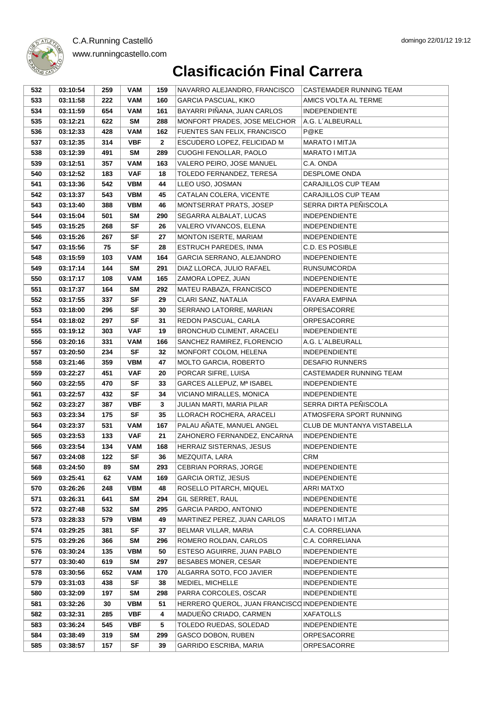

www.runningcastello.com

| 532        | 03:10:54             | 259        | VAM                     | 159          | NAVARRO ALEJANDRO, FRANCISCO                                          | CASTEMADER RUNNING TEAM     |
|------------|----------------------|------------|-------------------------|--------------|-----------------------------------------------------------------------|-----------------------------|
| 533        | 03:11:58             | 222        | <b>VAM</b>              | 160          | <b>GARCIA PASCUAL, KIKO</b>                                           | AMICS VOLTA AL TERME        |
| 534        | 03:11:59             | 654        | <b>VAM</b>              | 161          | BAYARRI PIÑANA, JUAN CARLOS                                           | <b>INDEPENDIENTE</b>        |
| 535        | 03:12:21             | 622        | <b>SM</b>               | 288          | MONFORT PRADES, JOSE MELCHOR                                          | A.G. L'ALBEURALL            |
| 536        | 03:12:33             | 428        | <b>VAM</b>              | 162          | FUENTES SAN FELIX, FRANCISCO                                          | P@KE                        |
| 537        | 03:12:35             | 314        | <b>VBF</b>              | $\mathbf{2}$ | ESCUDERO LOPEZ, FELICIDAD M                                           | <b>MARATO I MITJA</b>       |
| 538        | 03:12:39             | 491        | SM                      | 289          | CUOGHI FENOLLAR, PAOLO                                                | MARATO I MITJA              |
| 539        | 03:12:51             | 357        | <b>VAM</b>              | 163          | VALERO PEIRO, JOSE MANUEL                                             | C.A. ONDA                   |
| 540        | 03:12:52             | 183        | <b>VAF</b>              | 18           | TOLEDO FERNANDEZ, TERESA                                              | <b>DESPLOME ONDA</b>        |
| 541        | 03:13:36             | 542        | <b>VBM</b>              | 44           | LLEO USO, JOSMAN                                                      | CARAJILLOS CUP TEAM         |
| 542        | 03:13:37             | 543        | <b>VBM</b>              | 45           | CATALAN COLERA, VICENTE                                               | CARAJILLOS CUP TEAM         |
| 543        | 03:13:40             | 388        | <b>VBM</b>              | 46           | MONTSERRAT PRATS, JOSEP                                               | SERRA DIRTA PEÑISCOLA       |
| 544        | 03:15:04             | 501        | SM                      | 290          | SEGARRA ALBALAT, LUCAS                                                | <b>INDEPENDIENTE</b>        |
| 545        | 03:15:25             | 268        | <b>SF</b>               | 26           | VALERO VIVANCOS, ELENA                                                | <b>INDEPENDIENTE</b>        |
| 546        | 03:15:26             | 267        | <b>SF</b>               | 27           | MONTON ISERTE, MARIAM                                                 | <b>INDEPENDIENTE</b>        |
| 547        | 03:15:56             | 75         | SF                      | 28           | <b>ESTRUCH PAREDES, INMA</b>                                          | C.D. ES POSIBLE             |
| 548        | 03:15:59             | 103        | <b>VAM</b>              | 164          | GARCIA SERRANO, ALEJANDRO                                             | <b>INDEPENDIENTE</b>        |
| 549        | 03:17:14             | 144        | <b>SM</b>               | 291          | DIAZ LLORCA, JULIO RAFAEL                                             | <b>RUNSUMCORDA</b>          |
| 550        | 03:17:17             | 108        | <b>VAM</b>              | 165          | ZAMORA LOPEZ, JUAN                                                    | <b>INDEPENDIENTE</b>        |
| 551        | 03:17:37             | 164        | <b>SM</b>               | 292          | MATEU RABAZA, FRANCISCO                                               | <b>INDEPENDIENTE</b>        |
| 552        | 03:17:55             | 337        | SF                      | 29           | CLARI SANZ, NATALIA                                                   | <b>FAVARA EMPINA</b>        |
| 553        | 03:18:00             | 296        | <b>SF</b>               | 30           | SERRANO LATORRE, MARIAN                                               | <b>ORPESACORRE</b>          |
| 554        | 03:18:02             | 297        | SF                      | 31           | REDON PASCUAL, CARLA                                                  | <b>ORPESACORRE</b>          |
| 555        | 03:19:12             | 303        | <b>VAF</b>              | 19           | BRONCHUD CLIMENT, ARACELI                                             | <b>INDEPENDIENTE</b>        |
| 556        | 03:20:16             | 331        | <b>VAM</b>              | 166          | SANCHEZ RAMIREZ, FLORENCIO                                            | A.G. L'ALBEURALL            |
| 557        | 03:20:50             | 234        | <b>SF</b>               | 32           | MONFORT COLOM, HELENA                                                 | <b>INDEPENDIENTE</b>        |
| 558        | 03:21:46             | 359        | <b>VBM</b>              | 47           | MOLTO GARCIA, ROBERTO                                                 | <b>DESAFIO RUNNERS</b>      |
| 559        | 03:22:27             | 451        | <b>VAF</b>              | 20           | PORCAR SIFRE, LUISA                                                   | CASTEMADER RUNNING TEAM     |
| 560        | 03:22:55             | 470        | <b>SF</b>               | 33           | GARCES ALLEPUZ, Mª ISABEL                                             | <b>INDEPENDIENTE</b>        |
| 561        | 03:22:57             | 432        | <b>SF</b>               | 34           | VICIANO MIRALLES, MONICA                                              | <b>INDEPENDIENTE</b>        |
| 562        | 03:23:27             | 387        | <b>VBF</b>              | 3            | JULIAN MARTI, MARIA PILAR                                             | SERRA DIRTA PEÑISCOLA       |
| 563        | 03:23:34             | 175        | SF                      | 35           | LLORACH ROCHERA, ARACELI                                              | ATMOSFERA SPORT RUNNING     |
| 564        | 03:23:37             | 531        | <b>VAM</b>              | 167          | PALAU AÑATE, MANUEL ANGEL                                             | CLUB DE MUNTANYA VISTABELLA |
| 565        | 03:23:53             | 133        | <b>VAF</b>              | 21           | ZAHONERO FERNANDEZ, ENCARNA                                           | <b>INDEPENDIENTE</b>        |
| 566        | 03:23:54             | 134        | <b>VAM</b>              | 168          | HERRAIZ SISTERNAS, JESUS                                              | <b>INDEPENDIENTE</b>        |
| 567        | 03:24:08             | 122        | <b>SF</b>               | 36           | MEZQUITA, LARA                                                        | CRM                         |
| 568        | 03:24:50             | 89         | <b>SM</b>               | 293          | CEBRIAN PORRAS, JORGE                                                 | <b>INDEPENDIENTE</b>        |
| 569        | 03:25:41             | 62         | <b>VAM</b>              | 169          | <b>GARCIA ORTIZ, JESUS</b>                                            | <b>INDEPENDIENTE</b>        |
| 570        | 03:26:26             | 248        | <b>VBM</b>              | 48           | ROSELLO PITARCH, MIQUEL                                               | ARRI MATXO                  |
| 571        | 03:26:31             | 641        | <b>SM</b>               | 294          | GIL SERRET, RAUL                                                      | <b>INDEPENDIENTE</b>        |
| 572        | 03:27:48             | 532        | <b>SM</b>               | 295          | <b>GARCIA PARDO, ANTONIO</b>                                          | <b>INDEPENDIENTE</b>        |
| 573        | 03:28:33             | 579        | <b>VBM</b>              | 49           | MARTINEZ PEREZ, JUAN CARLOS                                           | MARATO I MITJA              |
| 574        | 03:29:25             | 381        | SF                      | 37           | BELMAR VILLAR, MARIA                                                  | C.A. CORRELIANA             |
| 575        | 03:29:26             | 366        | <b>SM</b>               | 296          | ROMERO ROLDAN, CARLOS                                                 | C.A. CORRELIANA             |
| 576        | 03:30:24             | 135        | <b>VBM</b>              | 50           | ESTESO AGUIRRE, JUAN PABLO                                            | <b>INDEPENDIENTE</b>        |
| 577        | 03:30:40             | 619        | <b>SM</b>               | 297          | <b>BESABES MONER, CESAR</b>                                           | <b>INDEPENDIENTE</b>        |
| 578<br>579 | 03:30:56<br>03:31:03 | 652<br>438 | <b>VAM</b><br>SF        | 170<br>38    | ALGARRA SOTO, FCO JAVIER<br>MEDIEL, MICHELLE                          | <b>INDEPENDIENTE</b>        |
|            |                      |            |                         |              |                                                                       | <b>INDEPENDIENTE</b>        |
| 580<br>581 | 03:32:09<br>03:32:26 | 197<br>30  | <b>SM</b><br><b>VBM</b> | 298<br>51    | PARRA CORCOLES, OSCAR<br>HERRERO QUEROL, JUAN FRANCISCO INDEPENDIENTE | <b>INDEPENDIENTE</b>        |
|            |                      |            |                         | 4            |                                                                       |                             |
| 582        | 03:32:31             | 285        | <b>VBF</b>              |              | MADUEÑO CRIADO, CARMEN<br>TOLEDO RUEDAS, SOLEDAD                      | <b>XAFATOLLS</b>            |
| 583<br>584 | 03:36:24<br>03:38:49 | 545<br>319 | <b>VBF</b><br><b>SM</b> | 5<br>299     | GASCO DOBON, RUBEN                                                    | <b>INDEPENDIENTE</b>        |
| 585        |                      |            | SF                      | 39           |                                                                       | ORPESACORRE                 |
|            | 03:38:57             | 157        |                         |              | GARRIDO ESCRIBA, MARIA                                                | ORPESACORRE                 |